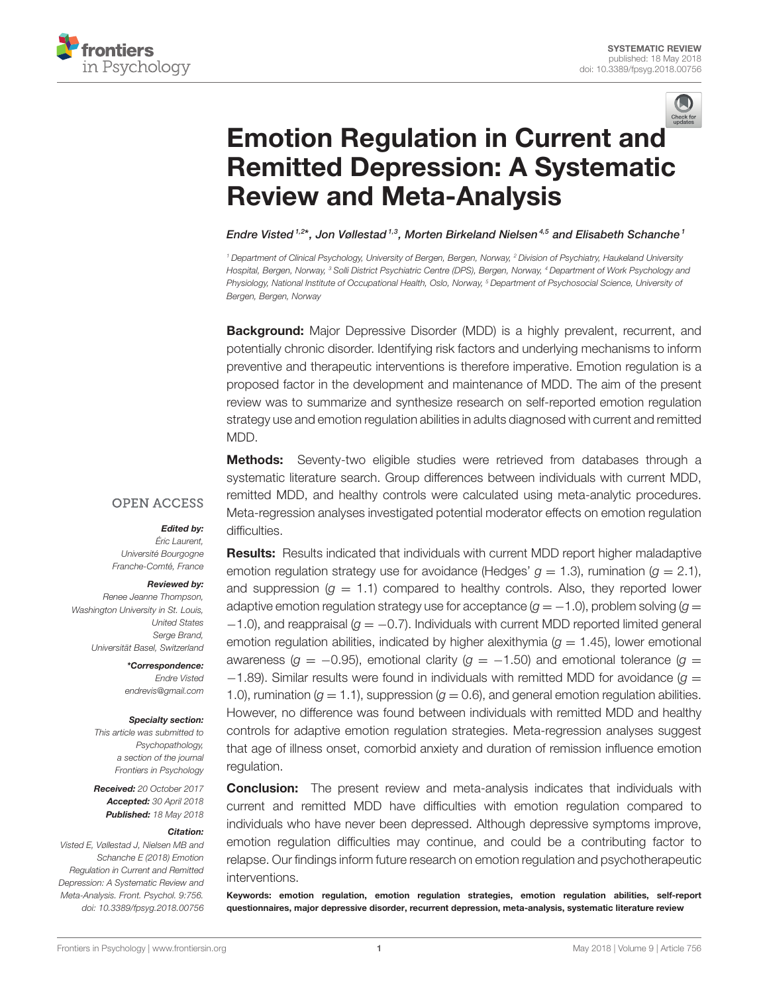



# Emotion Regulation in Current an[d](http://crossmark.crossref.org/dialog/?doi=10.3389/fpsyg.2018.00756&domain=pdf&date_stamp=2018-05-18) [Remitted Depression: A Systematic](https://www.frontiersin.org/articles/10.3389/fpsyg.2018.00756/full) Review and Meta-Analysis

[Endre Visted](http://loop.frontiersin.org/people/401183/overview)<sup>1,2\*</sup>, [Jon Vøllestad](http://loop.frontiersin.org/people/490416/overview)<sup>1,3</sup>, [Morten Birkeland Nielsen](http://loop.frontiersin.org/people/424724/overview)<sup>4,5</sup> and [Elisabeth Schanche](http://loop.frontiersin.org/people/560689/overview)<sup>1</sup>

<sup>1</sup> Department of Clinical Psychology, University of Bergen, Bergen, Norway, <sup>2</sup> Division of Psychiatry, Haukeland University Hospital, Bergen, Norway, <sup>3</sup> Solli District Psychiatric Centre (DPS), Bergen, Norway, <sup>4</sup> Department of Work Psychology and Physiology, National Institute of Occupational Health, Oslo, Norway, <sup>5</sup> Department of Psychosocial Science, University of Bergen, Bergen, Norway

**Background:** Major Depressive Disorder (MDD) is a highly prevalent, recurrent, and potentially chronic disorder. Identifying risk factors and underlying mechanisms to inform preventive and therapeutic interventions is therefore imperative. Emotion regulation is a proposed factor in the development and maintenance of MDD. The aim of the present review was to summarize and synthesize research on self-reported emotion regulation strategy use and emotion regulation abilities in adults diagnosed with current and remitted MDD.

**Methods:** Seventy-two eligible studies were retrieved from databases through a systematic literature search. Group differences between individuals with current MDD, remitted MDD, and healthy controls were calculated using meta-analytic procedures. Meta-regression analyses investigated potential moderator effects on emotion regulation difficulties.

### **OPEN ACCESS**

### Edited by:

Éric Laurent, Université Bourgogne Franche-Comté, France

#### Reviewed by:

Renee Jeanne Thompson, Washington University in St. Louis, United States Serge Brand, Universität Basel, Switzerland

> \*Correspondence: Endre Visted [endrevis@gmail.com](mailto:endrevis@gmail.com)

#### Specialty section:

This article was submitted to Psychopathology, a section of the journal Frontiers in Psychology

Received: 20 October 2017 Accepted: 30 April 2018 Published: 18 May 2018

#### Citation:

Visted E, Vøllestad J, Nielsen MB and Schanche E (2018) Emotion Regulation in Current and Remitted Depression: A Systematic Review and Meta-Analysis. Front. Psychol. 9:756. doi: [10.3389/fpsyg.2018.00756](https://doi.org/10.3389/fpsyg.2018.00756)

Results: Results indicated that individuals with current MDD report higher maladaptive emotion regulation strategy use for avoidance (Hedges'  $g = 1.3$ ), rumination ( $g = 2.1$ ), and suppression ( $g = 1.1$ ) compared to healthy controls. Also, they reported lower adaptive emotion regulation strategy use for acceptance  $(g = -1.0)$ , problem solving  $(g =$  $-1.0$ ), and reappraisal ( $g = -0.7$ ). Individuals with current MDD reported limited general emotion regulation abilities, indicated by higher alexithymia ( $g = 1.45$ ), lower emotional awareness ( $g = -0.95$ ), emotional clarity ( $g = -1.50$ ) and emotional tolerance ( $g =$  $-1.89$ ). Similar results were found in individuals with remitted MDD for avoidance ( $q =$ 1.0), rumination ( $g = 1.1$ ), suppression ( $g = 0.6$ ), and general emotion regulation abilities. However, no difference was found between individuals with remitted MDD and healthy controls for adaptive emotion regulation strategies. Meta-regression analyses suggest that age of illness onset, comorbid anxiety and duration of remission influence emotion regulation.

**Conclusion:** The present review and meta-analysis indicates that individuals with current and remitted MDD have difficulties with emotion regulation compared to individuals who have never been depressed. Although depressive symptoms improve, emotion regulation difficulties may continue, and could be a contributing factor to relapse. Our findings inform future research on emotion regulation and psychotherapeutic interventions.

Keywords: emotion regulation, emotion regulation strategies, emotion regulation abilities, self-report questionnaires, major depressive disorder, recurrent depression, meta-analysis, systematic literature review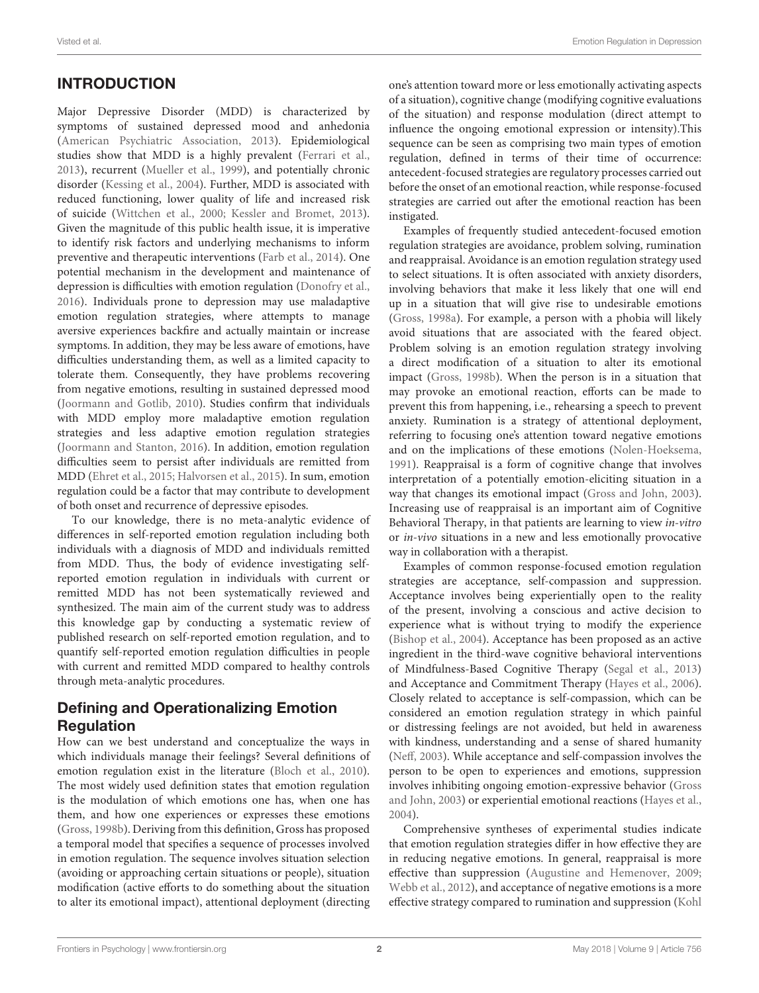# INTRODUCTION

Major Depressive Disorder (MDD) is characterized by symptoms of sustained depressed mood and anhedonia [\(American Psychiatric Association, 2013\)](#page-17-0). Epidemiological studies show that MDD is a highly prevalent [\(Ferrari et al.,](#page-18-0) [2013\)](#page-18-0), recurrent [\(Mueller et al., 1999\)](#page-18-1), and potentially chronic disorder [\(Kessing et al., 2004\)](#page-18-2). Further, MDD is associated with reduced functioning, lower quality of life and increased risk of suicide [\(Wittchen et al., 2000;](#page-19-0) [Kessler and Bromet, 2013\)](#page-18-3). Given the magnitude of this public health issue, it is imperative to identify risk factors and underlying mechanisms to inform preventive and therapeutic interventions [\(Farb et al., 2014\)](#page-17-1). One potential mechanism in the development and maintenance of depression is difficulties with emotion regulation [\(Donofry et al.,](#page-17-2) [2016\)](#page-17-2). Individuals prone to depression may use maladaptive emotion regulation strategies, where attempts to manage aversive experiences backfire and actually maintain or increase symptoms. In addition, they may be less aware of emotions, have difficulties understanding them, as well as a limited capacity to tolerate them. Consequently, they have problems recovering from negative emotions, resulting in sustained depressed mood [\(Joormann and Gotlib, 2010\)](#page-18-4). Studies confirm that individuals with MDD employ more maladaptive emotion regulation strategies and less adaptive emotion regulation strategies [\(Joormann and Stanton, 2016\)](#page-18-5). In addition, emotion regulation difficulties seem to persist after individuals are remitted from MDD [\(Ehret et al., 2015;](#page-17-3) [Halvorsen et al., 2015\)](#page-18-6). In sum, emotion regulation could be a factor that may contribute to development of both onset and recurrence of depressive episodes.

To our knowledge, there is no meta-analytic evidence of differences in self-reported emotion regulation including both individuals with a diagnosis of MDD and individuals remitted from MDD. Thus, the body of evidence investigating selfreported emotion regulation in individuals with current or remitted MDD has not been systematically reviewed and synthesized. The main aim of the current study was to address this knowledge gap by conducting a systematic review of published research on self-reported emotion regulation, and to quantify self-reported emotion regulation difficulties in people with current and remitted MDD compared to healthy controls through meta-analytic procedures.

### Defining and Operationalizing Emotion **Regulation**

How can we best understand and conceptualize the ways in which individuals manage their feelings? Several definitions of emotion regulation exist in the literature [\(Bloch et al., 2010\)](#page-17-4). The most widely used definition states that emotion regulation is the modulation of which emotions one has, when one has them, and how one experiences or expresses these emotions [\(Gross, 1998b\)](#page-18-7). Deriving from this definition, Gross has proposed a temporal model that specifies a sequence of processes involved in emotion regulation. The sequence involves situation selection (avoiding or approaching certain situations or people), situation modification (active efforts to do something about the situation to alter its emotional impact), attentional deployment (directing one's attention toward more or less emotionally activating aspects of a situation), cognitive change (modifying cognitive evaluations of the situation) and response modulation (direct attempt to influence the ongoing emotional expression or intensity).This sequence can be seen as comprising two main types of emotion regulation, defined in terms of their time of occurrence: antecedent-focused strategies are regulatory processes carried out before the onset of an emotional reaction, while response-focused strategies are carried out after the emotional reaction has been instigated.

Examples of frequently studied antecedent-focused emotion regulation strategies are avoidance, problem solving, rumination and reappraisal. Avoidance is an emotion regulation strategy used to select situations. It is often associated with anxiety disorders, involving behaviors that make it less likely that one will end up in a situation that will give rise to undesirable emotions [\(Gross, 1998a\)](#page-18-8). For example, a person with a phobia will likely avoid situations that are associated with the feared object. Problem solving is an emotion regulation strategy involving a direct modification of a situation to alter its emotional impact [\(Gross, 1998b\)](#page-18-7). When the person is in a situation that may provoke an emotional reaction, efforts can be made to prevent this from happening, i.e., rehearsing a speech to prevent anxiety. Rumination is a strategy of attentional deployment, referring to focusing one's attention toward negative emotions and on the implications of these emotions [\(Nolen-Hoeksema,](#page-19-1) [1991\)](#page-19-1). Reappraisal is a form of cognitive change that involves interpretation of a potentially emotion-eliciting situation in a way that changes its emotional impact [\(Gross and John, 2003\)](#page-18-9). Increasing use of reappraisal is an important aim of Cognitive Behavioral Therapy, in that patients are learning to view in-vitro or in-vivo situations in a new and less emotionally provocative way in collaboration with a therapist.

Examples of common response-focused emotion regulation strategies are acceptance, self-compassion and suppression. Acceptance involves being experientially open to the reality of the present, involving a conscious and active decision to experience what is without trying to modify the experience [\(Bishop et al., 2004\)](#page-17-5). Acceptance has been proposed as an active ingredient in the third-wave cognitive behavioral interventions of Mindfulness-Based Cognitive Therapy [\(Segal et al., 2013\)](#page-19-2) and Acceptance and Commitment Therapy [\(Hayes et al., 2006\)](#page-18-10). Closely related to acceptance is self-compassion, which can be considered an emotion regulation strategy in which painful or distressing feelings are not avoided, but held in awareness with kindness, understanding and a sense of shared humanity [\(Neff, 2003\)](#page-19-3). While acceptance and self-compassion involves the person to be open to experiences and emotions, suppression involves inhibiting ongoing emotion-expressive behavior (Gross and John, [2003\)](#page-18-9) or experiential emotional reactions [\(Hayes et al.,](#page-18-11) [2004\)](#page-18-11).

Comprehensive syntheses of experimental studies indicate that emotion regulation strategies differ in how effective they are in reducing negative emotions. In general, reappraisal is more effective than suppression [\(Augustine and Hemenover, 2009;](#page-17-6) [Webb et al., 2012\)](#page-19-4), and acceptance of negative emotions is a more effective strategy compared to rumination and suppression (Kohl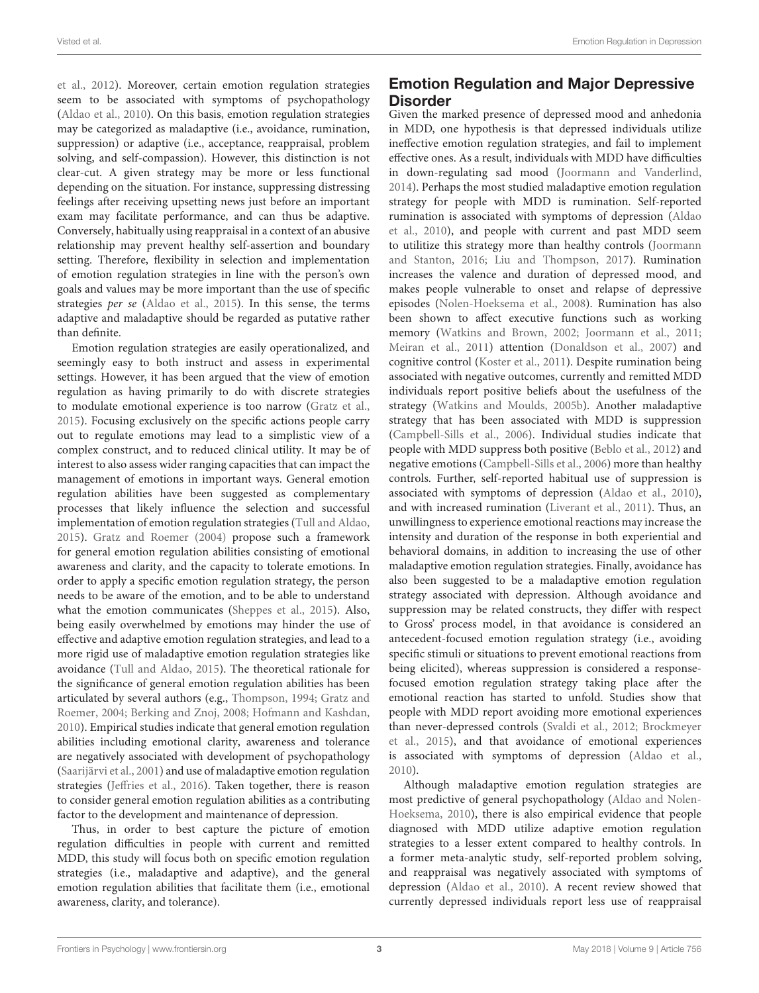et al., [2012\)](#page-18-12). Moreover, certain emotion regulation strategies seem to be associated with symptoms of psychopathology [\(Aldao et al., 2010\)](#page-17-7). On this basis, emotion regulation strategies may be categorized as maladaptive (i.e., avoidance, rumination, suppression) or adaptive (i.e., acceptance, reappraisal, problem solving, and self-compassion). However, this distinction is not clear-cut. A given strategy may be more or less functional depending on the situation. For instance, suppressing distressing feelings after receiving upsetting news just before an important exam may facilitate performance, and can thus be adaptive. Conversely, habitually using reappraisal in a context of an abusive relationship may prevent healthy self-assertion and boundary setting. Therefore, flexibility in selection and implementation of emotion regulation strategies in line with the person's own goals and values may be more important than the use of specific strategies per se [\(Aldao et al., 2015\)](#page-17-8). In this sense, the terms adaptive and maladaptive should be regarded as putative rather than definite.

Emotion regulation strategies are easily operationalized, and seemingly easy to both instruct and assess in experimental settings. However, it has been argued that the view of emotion regulation as having primarily to do with discrete strategies to modulate emotional experience is too narrow [\(Gratz et al.,](#page-18-13) [2015\)](#page-18-13). Focusing exclusively on the specific actions people carry out to regulate emotions may lead to a simplistic view of a complex construct, and to reduced clinical utility. It may be of interest to also assess wider ranging capacities that can impact the management of emotions in important ways. General emotion regulation abilities have been suggested as complementary processes that likely influence the selection and successful implementation of emotion regulation strategies [\(Tull and Aldao,](#page-19-5) [2015\)](#page-19-5). [Gratz and Roemer \(2004\)](#page-18-14) propose such a framework for general emotion regulation abilities consisting of emotional awareness and clarity, and the capacity to tolerate emotions. In order to apply a specific emotion regulation strategy, the person needs to be aware of the emotion, and to be able to understand what the emotion communicates [\(Sheppes et al., 2015\)](#page-19-6). Also, being easily overwhelmed by emotions may hinder the use of effective and adaptive emotion regulation strategies, and lead to a more rigid use of maladaptive emotion regulation strategies like avoidance [\(Tull and Aldao, 2015\)](#page-19-5). The theoretical rationale for the significance of general emotion regulation abilities has been articulated by several authors (e.g., [Thompson, 1994;](#page-19-7) Gratz and Roemer, [2004;](#page-18-14) [Berking and Znoj, 2008;](#page-17-9) [Hofmann and Kashdan,](#page-18-15) [2010\)](#page-18-15). Empirical studies indicate that general emotion regulation abilities including emotional clarity, awareness and tolerance are negatively associated with development of psychopathology [\(Saarijärvi et al., 2001\)](#page-19-8) and use of maladaptive emotion regulation strategies [\(Jeffries et al., 2016\)](#page-18-16). Taken together, there is reason to consider general emotion regulation abilities as a contributing factor to the development and maintenance of depression.

Thus, in order to best capture the picture of emotion regulation difficulties in people with current and remitted MDD, this study will focus both on specific emotion regulation strategies (i.e., maladaptive and adaptive), and the general emotion regulation abilities that facilitate them (i.e., emotional awareness, clarity, and tolerance).

# Emotion Regulation and Major Depressive **Disorder**

Given the marked presence of depressed mood and anhedonia in MDD, one hypothesis is that depressed individuals utilize ineffective emotion regulation strategies, and fail to implement effective ones. As a result, individuals with MDD have difficulties in down-regulating sad mood [\(Joormann and Vanderlind,](#page-18-17) [2014\)](#page-18-17). Perhaps the most studied maladaptive emotion regulation strategy for people with MDD is rumination. Self-reported rumination is associated with symptoms of depression (Aldao et al., [2010\)](#page-17-7), and people with current and past MDD seem to utilitize this strategy more than healthy controls (Joormann and Stanton, [2016;](#page-18-5) [Liu and Thompson, 2017\)](#page-18-18). Rumination increases the valence and duration of depressed mood, and makes people vulnerable to onset and relapse of depressive episodes [\(Nolen-Hoeksema et al., 2008\)](#page-19-9). Rumination has also been shown to affect executive functions such as working memory [\(Watkins and Brown, 2002;](#page-19-10) [Joormann et al., 2011;](#page-18-19) [Meiran et al., 2011\)](#page-18-20) attention [\(Donaldson et al., 2007\)](#page-17-10) and cognitive control [\(Koster et al., 2011\)](#page-18-21). Despite rumination being associated with negative outcomes, currently and remitted MDD individuals report positive beliefs about the usefulness of the strategy [\(Watkins and Moulds, 2005b\)](#page-19-11). Another maladaptive strategy that has been associated with MDD is suppression [\(Campbell-Sills et al., 2006\)](#page-17-11). Individual studies indicate that people with MDD suppress both positive [\(Beblo et al., 2012\)](#page-17-12) and negative emotions [\(Campbell-Sills et al., 2006\)](#page-17-11) more than healthy controls. Further, self-reported habitual use of suppression is associated with symptoms of depression [\(Aldao et al., 2010\)](#page-17-7), and with increased rumination [\(Liverant et al., 2011\)](#page-18-22). Thus, an unwillingness to experience emotional reactions may increase the intensity and duration of the response in both experiential and behavioral domains, in addition to increasing the use of other maladaptive emotion regulation strategies. Finally, avoidance has also been suggested to be a maladaptive emotion regulation strategy associated with depression. Although avoidance and suppression may be related constructs, they differ with respect to Gross' process model, in that avoidance is considered an antecedent-focused emotion regulation strategy (i.e., avoiding specific stimuli or situations to prevent emotional reactions from being elicited), whereas suppression is considered a responsefocused emotion regulation strategy taking place after the emotional reaction has started to unfold. Studies show that people with MDD report avoiding more emotional experiences than never-depressed controls [\(Svaldi et al., 2012;](#page-19-12) Brockmeyer et al., [2015\)](#page-17-13), and that avoidance of emotional experiences is associated with symptoms of depression [\(Aldao et al.,](#page-17-7) [2010\)](#page-17-7).

Although maladaptive emotion regulation strategies are most predictive of general psychopathology (Aldao and Nolen-Hoeksema, [2010\)](#page-17-14), there is also empirical evidence that people diagnosed with MDD utilize adaptive emotion regulation strategies to a lesser extent compared to healthy controls. In a former meta-analytic study, self-reported problem solving, and reappraisal was negatively associated with symptoms of depression [\(Aldao et al., 2010\)](#page-17-7). A recent review showed that currently depressed individuals report less use of reappraisal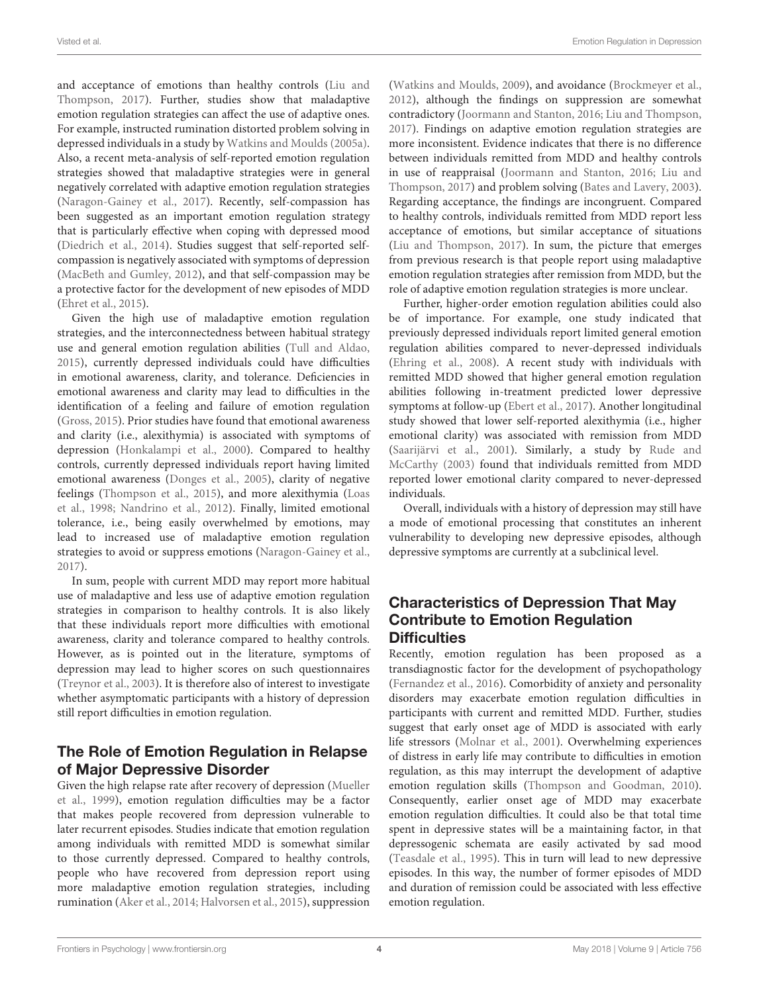and acceptance of emotions than healthy controls (Liu and Thompson, [2017\)](#page-18-18). Further, studies show that maladaptive emotion regulation strategies can affect the use of adaptive ones. For example, instructed rumination distorted problem solving in depressed individuals in a study by [Watkins and Moulds \(2005a\)](#page-19-13). Also, a recent meta-analysis of self-reported emotion regulation strategies showed that maladaptive strategies were in general negatively correlated with adaptive emotion regulation strategies [\(Naragon-Gainey et al., 2017\)](#page-19-14). Recently, self-compassion has been suggested as an important emotion regulation strategy that is particularly effective when coping with depressed mood [\(Diedrich et al., 2014\)](#page-17-15). Studies suggest that self-reported selfcompassion is negatively associated with symptoms of depression [\(MacBeth and Gumley, 2012\)](#page-18-23), and that self-compassion may be a protective factor for the development of new episodes of MDD [\(Ehret et al., 2015\)](#page-17-3).

Given the high use of maladaptive emotion regulation strategies, and the interconnectedness between habitual strategy use and general emotion regulation abilities [\(Tull and Aldao,](#page-19-5) [2015\)](#page-19-5), currently depressed individuals could have difficulties in emotional awareness, clarity, and tolerance. Deficiencies in emotional awareness and clarity may lead to difficulties in the identification of a feeling and failure of emotion regulation [\(Gross, 2015\)](#page-18-24). Prior studies have found that emotional awareness and clarity (i.e., alexithymia) is associated with symptoms of depression [\(Honkalampi et al., 2000\)](#page-18-25). Compared to healthy controls, currently depressed individuals report having limited emotional awareness [\(Donges et al., 2005\)](#page-17-16), clarity of negative feelings [\(Thompson et al., 2015\)](#page-19-15), and more alexithymia (Loas et al., [1998;](#page-18-26) [Nandrino et al., 2012\)](#page-19-16). Finally, limited emotional tolerance, i.e., being easily overwhelmed by emotions, may lead to increased use of maladaptive emotion regulation strategies to avoid or suppress emotions [\(Naragon-Gainey et al.,](#page-19-14) [2017\)](#page-19-14).

In sum, people with current MDD may report more habitual use of maladaptive and less use of adaptive emotion regulation strategies in comparison to healthy controls. It is also likely that these individuals report more difficulties with emotional awareness, clarity and tolerance compared to healthy controls. However, as is pointed out in the literature, symptoms of depression may lead to higher scores on such questionnaires [\(Treynor et al., 2003\)](#page-19-17). It is therefore also of interest to investigate whether asymptomatic participants with a history of depression still report difficulties in emotion regulation.

## The Role of Emotion Regulation in Relapse of Major Depressive Disorder

Given the high relapse rate after recovery of depression (Mueller et al., [1999\)](#page-18-1), emotion regulation difficulties may be a factor that makes people recovered from depression vulnerable to later recurrent episodes. Studies indicate that emotion regulation among individuals with remitted MDD is somewhat similar to those currently depressed. Compared to healthy controls, people who have recovered from depression report using more maladaptive emotion regulation strategies, including rumination [\(Aker et al., 2014;](#page-17-17) [Halvorsen et al., 2015\)](#page-18-6), suppression [\(Watkins and Moulds, 2009\)](#page-19-18), and avoidance [\(Brockmeyer et al.,](#page-17-18) [2012\)](#page-17-18), although the findings on suppression are somewhat contradictory [\(Joormann and Stanton, 2016;](#page-18-5) [Liu and Thompson,](#page-18-18) [2017\)](#page-18-18). Findings on adaptive emotion regulation strategies are more inconsistent. Evidence indicates that there is no difference between individuals remitted from MDD and healthy controls in use of reappraisal [\(Joormann and Stanton, 2016;](#page-18-5) Liu and Thompson, [2017\)](#page-18-18) and problem solving [\(Bates and Lavery, 2003\)](#page-17-19). Regarding acceptance, the findings are incongruent. Compared to healthy controls, individuals remitted from MDD report less acceptance of emotions, but similar acceptance of situations [\(Liu and Thompson, 2017\)](#page-18-18). In sum, the picture that emerges from previous research is that people report using maladaptive emotion regulation strategies after remission from MDD, but the role of adaptive emotion regulation strategies is more unclear.

Further, higher-order emotion regulation abilities could also be of importance. For example, one study indicated that previously depressed individuals report limited general emotion regulation abilities compared to never-depressed individuals [\(Ehring et al., 2008\)](#page-17-20). A recent study with individuals with remitted MDD showed that higher general emotion regulation abilities following in-treatment predicted lower depressive symptoms at follow-up [\(Ebert et al., 2017\)](#page-17-21). Another longitudinal study showed that lower self-reported alexithymia (i.e., higher emotional clarity) was associated with remission from MDD [\(Saarijärvi et al., 2001\)](#page-19-8). Similarly, a study by Rude and McCarthy [\(2003\)](#page-19-19) found that individuals remitted from MDD reported lower emotional clarity compared to never-depressed individuals.

Overall, individuals with a history of depression may still have a mode of emotional processing that constitutes an inherent vulnerability to developing new depressive episodes, although depressive symptoms are currently at a subclinical level.

### Characteristics of Depression That May Contribute to Emotion Regulation **Difficulties**

Recently, emotion regulation has been proposed as a transdiagnostic factor for the development of psychopathology [\(Fernandez et al., 2016\)](#page-17-22). Comorbidity of anxiety and personality disorders may exacerbate emotion regulation difficulties in participants with current and remitted MDD. Further, studies suggest that early onset age of MDD is associated with early life stressors [\(Molnar et al., 2001\)](#page-18-27). Overwhelming experiences of distress in early life may contribute to difficulties in emotion regulation, as this may interrupt the development of adaptive emotion regulation skills [\(Thompson and Goodman, 2010\)](#page-19-20). Consequently, earlier onset age of MDD may exacerbate emotion regulation difficulties. It could also be that total time spent in depressive states will be a maintaining factor, in that depressogenic schemata are easily activated by sad mood [\(Teasdale et al., 1995\)](#page-19-21). This in turn will lead to new depressive episodes. In this way, the number of former episodes of MDD and duration of remission could be associated with less effective emotion regulation.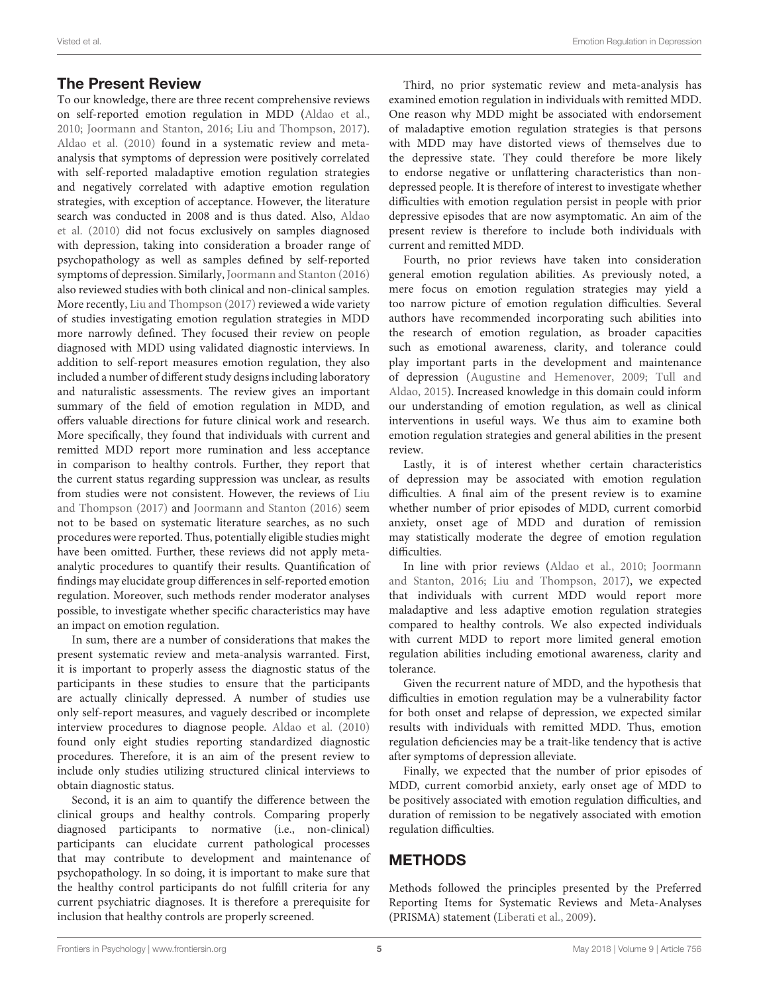### The Present Review

To our knowledge, there are three recent comprehensive reviews on self-reported emotion regulation in MDD [\(Aldao et al.,](#page-17-7) [2010;](#page-17-7) [Joormann and Stanton, 2016;](#page-18-5) [Liu and Thompson, 2017\)](#page-18-18). [Aldao et al. \(2010\)](#page-17-7) found in a systematic review and metaanalysis that symptoms of depression were positively correlated with self-reported maladaptive emotion regulation strategies and negatively correlated with adaptive emotion regulation strategies, with exception of acceptance. However, the literature search was conducted in 2008 and is thus dated. Also, Aldao et al. [\(2010\)](#page-17-7) did not focus exclusively on samples diagnosed with depression, taking into consideration a broader range of psychopathology as well as samples defined by self-reported symptoms of depression. Similarly, [Joormann and Stanton \(2016\)](#page-18-5) also reviewed studies with both clinical and non-clinical samples. More recently, [Liu and Thompson \(2017\)](#page-18-18) reviewed a wide variety of studies investigating emotion regulation strategies in MDD more narrowly defined. They focused their review on people diagnosed with MDD using validated diagnostic interviews. In addition to self-report measures emotion regulation, they also included a number of different study designs including laboratory and naturalistic assessments. The review gives an important summary of the field of emotion regulation in MDD, and offers valuable directions for future clinical work and research. More specifically, they found that individuals with current and remitted MDD report more rumination and less acceptance in comparison to healthy controls. Further, they report that the current status regarding suppression was unclear, as results from studies were not consistent. However, the reviews of Liu and Thompson [\(2017\)](#page-18-18) and [Joormann and Stanton \(2016\)](#page-18-5) seem not to be based on systematic literature searches, as no such procedures were reported. Thus, potentially eligible studies might have been omitted. Further, these reviews did not apply metaanalytic procedures to quantify their results. Quantification of findings may elucidate group differences in self-reported emotion regulation. Moreover, such methods render moderator analyses possible, to investigate whether specific characteristics may have an impact on emotion regulation.

In sum, there are a number of considerations that makes the present systematic review and meta-analysis warranted. First, it is important to properly assess the diagnostic status of the participants in these studies to ensure that the participants are actually clinically depressed. A number of studies use only self-report measures, and vaguely described or incomplete interview procedures to diagnose people. [Aldao et al. \(2010\)](#page-17-7) found only eight studies reporting standardized diagnostic procedures. Therefore, it is an aim of the present review to include only studies utilizing structured clinical interviews to obtain diagnostic status.

Second, it is an aim to quantify the difference between the clinical groups and healthy controls. Comparing properly diagnosed participants to normative (i.e., non-clinical) participants can elucidate current pathological processes that may contribute to development and maintenance of psychopathology. In so doing, it is important to make sure that the healthy control participants do not fulfill criteria for any current psychiatric diagnoses. It is therefore a prerequisite for inclusion that healthy controls are properly screened.

Third, no prior systematic review and meta-analysis has examined emotion regulation in individuals with remitted MDD. One reason why MDD might be associated with endorsement of maladaptive emotion regulation strategies is that persons with MDD may have distorted views of themselves due to the depressive state. They could therefore be more likely to endorse negative or unflattering characteristics than nondepressed people. It is therefore of interest to investigate whether difficulties with emotion regulation persist in people with prior depressive episodes that are now asymptomatic. An aim of the present review is therefore to include both individuals with current and remitted MDD.

Fourth, no prior reviews have taken into consideration general emotion regulation abilities. As previously noted, a mere focus on emotion regulation strategies may yield a too narrow picture of emotion regulation difficulties. Several authors have recommended incorporating such abilities into the research of emotion regulation, as broader capacities such as emotional awareness, clarity, and tolerance could play important parts in the development and maintenance of depression [\(Augustine and Hemenover, 2009;](#page-17-6) Tull and Aldao, [2015\)](#page-19-5). Increased knowledge in this domain could inform our understanding of emotion regulation, as well as clinical interventions in useful ways. We thus aim to examine both emotion regulation strategies and general abilities in the present review.

Lastly, it is of interest whether certain characteristics of depression may be associated with emotion regulation difficulties. A final aim of the present review is to examine whether number of prior episodes of MDD, current comorbid anxiety, onset age of MDD and duration of remission may statistically moderate the degree of emotion regulation difficulties.

In line with prior reviews [\(Aldao et al., 2010;](#page-17-7) Joormann and Stanton, [2016;](#page-18-5) [Liu and Thompson, 2017\)](#page-18-18), we expected that individuals with current MDD would report more maladaptive and less adaptive emotion regulation strategies compared to healthy controls. We also expected individuals with current MDD to report more limited general emotion regulation abilities including emotional awareness, clarity and tolerance.

Given the recurrent nature of MDD, and the hypothesis that difficulties in emotion regulation may be a vulnerability factor for both onset and relapse of depression, we expected similar results with individuals with remitted MDD. Thus, emotion regulation deficiencies may be a trait-like tendency that is active after symptoms of depression alleviate.

Finally, we expected that the number of prior episodes of MDD, current comorbid anxiety, early onset age of MDD to be positively associated with emotion regulation difficulties, and duration of remission to be negatively associated with emotion regulation difficulties.

### METHODS

Methods followed the principles presented by the Preferred Reporting Items for Systematic Reviews and Meta-Analyses (PRISMA) statement [\(Liberati et al., 2009\)](#page-18-28).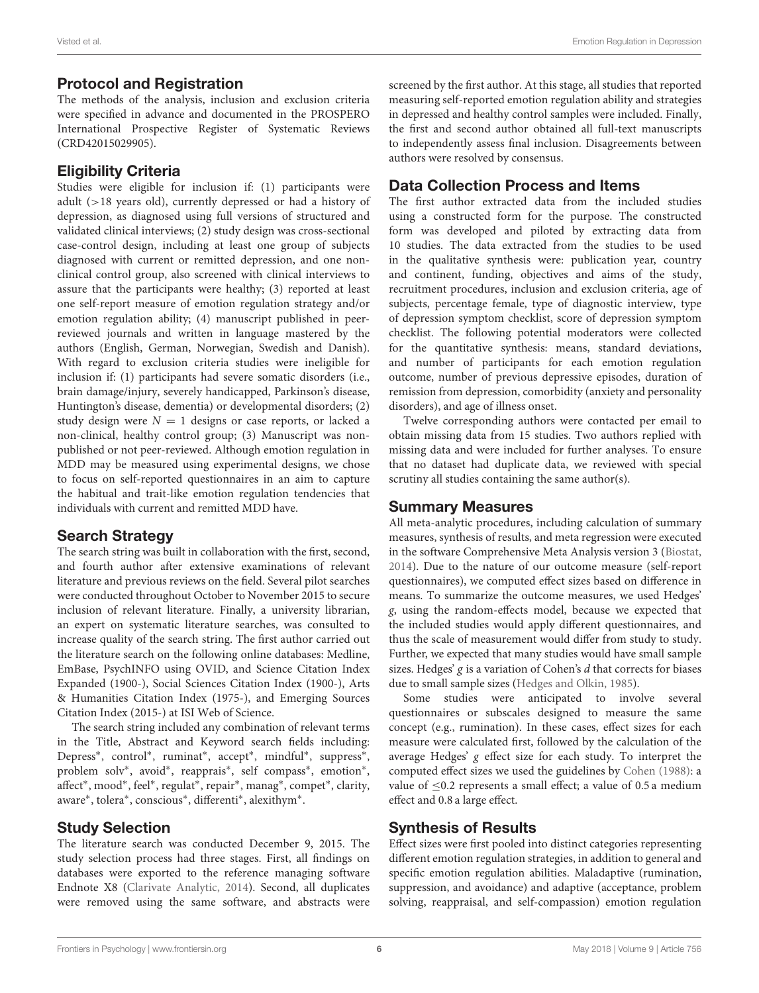### Protocol and Registration

The methods of the analysis, inclusion and exclusion criteria were specified in advance and documented in the PROSPERO International Prospective Register of Systematic Reviews (CRD42015029905).

### Eligibility Criteria

Studies were eligible for inclusion if: (1) participants were adult (>18 years old), currently depressed or had a history of depression, as diagnosed using full versions of structured and validated clinical interviews; (2) study design was cross-sectional case-control design, including at least one group of subjects diagnosed with current or remitted depression, and one nonclinical control group, also screened with clinical interviews to assure that the participants were healthy; (3) reported at least one self-report measure of emotion regulation strategy and/or emotion regulation ability; (4) manuscript published in peerreviewed journals and written in language mastered by the authors (English, German, Norwegian, Swedish and Danish). With regard to exclusion criteria studies were ineligible for inclusion if: (1) participants had severe somatic disorders (i.e., brain damage/injury, severely handicapped, Parkinson's disease, Huntington's disease, dementia) or developmental disorders; (2) study design were  $N = 1$  designs or case reports, or lacked a non-clinical, healthy control group; (3) Manuscript was nonpublished or not peer-reviewed. Although emotion regulation in MDD may be measured using experimental designs, we chose to focus on self-reported questionnaires in an aim to capture the habitual and trait-like emotion regulation tendencies that individuals with current and remitted MDD have.

### Search Strategy

The search string was built in collaboration with the first, second, and fourth author after extensive examinations of relevant literature and previous reviews on the field. Several pilot searches were conducted throughout October to November 2015 to secure inclusion of relevant literature. Finally, a university librarian, an expert on systematic literature searches, was consulted to increase quality of the search string. The first author carried out the literature search on the following online databases: Medline, EmBase, PsychINFO using OVID, and Science Citation Index Expanded (1900-), Social Sciences Citation Index (1900-), Arts & Humanities Citation Index (1975-), and Emerging Sources Citation Index (2015-) at ISI Web of Science.

The search string included any combination of relevant terms in the Title, Abstract and Keyword search fields including: Depress<sup>\*</sup>, control<sup>\*</sup>, ruminat<sup>\*</sup>, accept<sup>\*</sup>, mindful<sup>\*</sup>, suppress<sup>\*</sup>, problem solv<sup>\*</sup>, avoid<sup>\*</sup>, reapprais<sup>\*</sup>, self compass<sup>\*</sup>, emotion<sup>\*</sup>, affect<sup>\*</sup>, mood<sup>\*</sup>, feel<sup>\*</sup>, regulat<sup>\*</sup>, repair<sup>\*</sup>, manag<sup>\*</sup>, compet<sup>\*</sup>, clarity, aware<sup>\*</sup>, tolera<sup>\*</sup>, conscious<sup>\*</sup>, differenti<sup>\*</sup>, alexithym<sup>\*</sup>.

### Study Selection

The literature search was conducted December 9, 2015. The study selection process had three stages. First, all findings on databases were exported to the reference managing software Endnote X8 [\(Clarivate Analytic, 2014\)](#page-17-23). Second, all duplicates were removed using the same software, and abstracts were screened by the first author. At this stage, all studies that reported measuring self-reported emotion regulation ability and strategies in depressed and healthy control samples were included. Finally, the first and second author obtained all full-text manuscripts to independently assess final inclusion. Disagreements between authors were resolved by consensus.

### Data Collection Process and Items

The first author extracted data from the included studies using a constructed form for the purpose. The constructed form was developed and piloted by extracting data from 10 studies. The data extracted from the studies to be used in the qualitative synthesis were: publication year, country and continent, funding, objectives and aims of the study, recruitment procedures, inclusion and exclusion criteria, age of subjects, percentage female, type of diagnostic interview, type of depression symptom checklist, score of depression symptom checklist. The following potential moderators were collected for the quantitative synthesis: means, standard deviations, and number of participants for each emotion regulation outcome, number of previous depressive episodes, duration of remission from depression, comorbidity (anxiety and personality disorders), and age of illness onset.

Twelve corresponding authors were contacted per email to obtain missing data from 15 studies. Two authors replied with missing data and were included for further analyses. To ensure that no dataset had duplicate data, we reviewed with special scrutiny all studies containing the same author(s).

### Summary Measures

All meta-analytic procedures, including calculation of summary measures, synthesis of results, and meta regression were executed in the software Comprehensive Meta Analysis version 3 [\(Biostat,](#page-17-24) [2014\)](#page-17-24). Due to the nature of our outcome measure (self-report questionnaires), we computed effect sizes based on difference in means. To summarize the outcome measures, we used Hedges' g, using the random-effects model, because we expected that the included studies would apply different questionnaires, and thus the scale of measurement would differ from study to study. Further, we expected that many studies would have small sample sizes. Hedges'  $g$  is a variation of Cohen's  $d$  that corrects for biases due to small sample sizes [\(Hedges and Olkin, 1985\)](#page-18-29).

Some studies were anticipated to involve several questionnaires or subscales designed to measure the same concept (e.g., rumination). In these cases, effect sizes for each measure were calculated first, followed by the calculation of the average Hedges' g effect size for each study. To interpret the computed effect sizes we used the guidelines by [Cohen \(1988\)](#page-17-25): a value of  $\leq$ 0.2 represents a small effect; a value of 0.5 a medium effect and 0.8 a large effect.

### Synthesis of Results

Effect sizes were first pooled into distinct categories representing different emotion regulation strategies, in addition to general and specific emotion regulation abilities. Maladaptive (rumination, suppression, and avoidance) and adaptive (acceptance, problem solving, reappraisal, and self-compassion) emotion regulation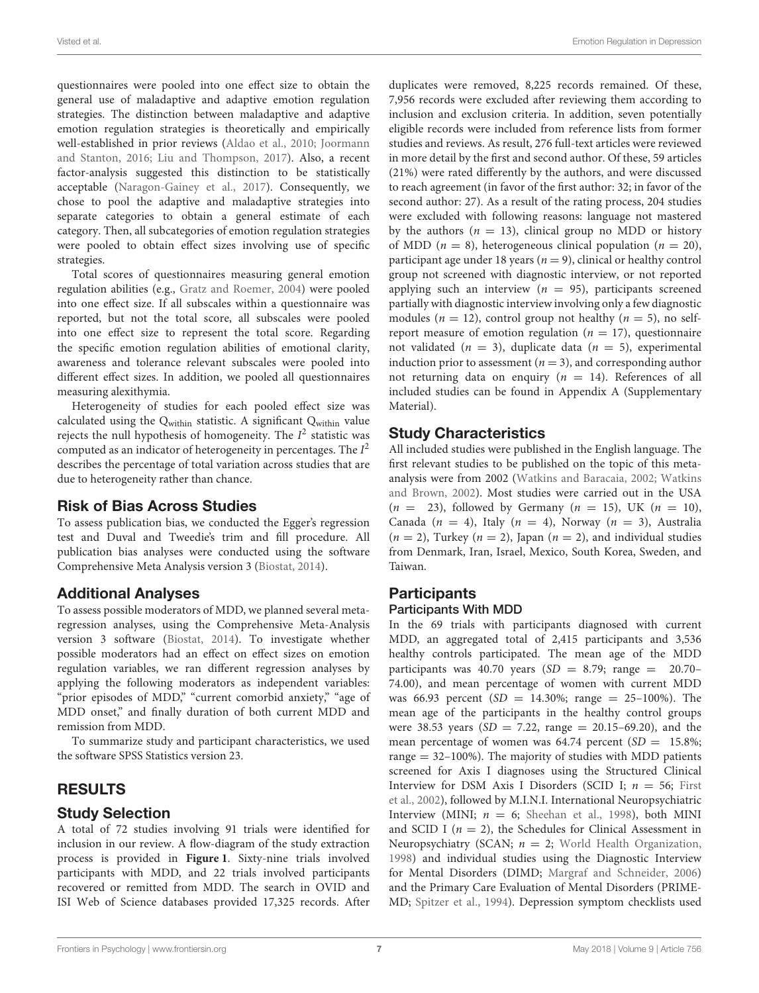questionnaires were pooled into one effect size to obtain the general use of maladaptive and adaptive emotion regulation strategies. The distinction between maladaptive and adaptive emotion regulation strategies is theoretically and empirically well-established in prior reviews [\(Aldao et al., 2010;](#page-17-7) Joormann and Stanton, [2016;](#page-18-5) [Liu and Thompson, 2017\)](#page-18-18). Also, a recent factor-analysis suggested this distinction to be statistically acceptable [\(Naragon-Gainey et al., 2017\)](#page-19-14). Consequently, we chose to pool the adaptive and maladaptive strategies into separate categories to obtain a general estimate of each category. Then, all subcategories of emotion regulation strategies were pooled to obtain effect sizes involving use of specific strategies.

Total scores of questionnaires measuring general emotion regulation abilities (e.g., [Gratz and Roemer, 2004\)](#page-18-14) were pooled into one effect size. If all subscales within a questionnaire was reported, but not the total score, all subscales were pooled into one effect size to represent the total score. Regarding the specific emotion regulation abilities of emotional clarity, awareness and tolerance relevant subscales were pooled into different effect sizes. In addition, we pooled all questionnaires measuring alexithymia.

Heterogeneity of studies for each pooled effect size was calculated using the Qwithin statistic. A significant Qwithin value rejects the null hypothesis of homogeneity. The  $I^2$  statistic was computed as an indicator of heterogeneity in percentages. The  $I^2$ describes the percentage of total variation across studies that are due to heterogeneity rather than chance.

### Risk of Bias Across Studies

To assess publication bias, we conducted the Egger's regression test and Duval and Tweedie's trim and fill procedure. All publication bias analyses were conducted using the software Comprehensive Meta Analysis version 3 [\(Biostat, 2014\)](#page-17-24).

### Additional Analyses

To assess possible moderators of MDD, we planned several metaregression analyses, using the Comprehensive Meta-Analysis version 3 software [\(Biostat, 2014\)](#page-17-24). To investigate whether possible moderators had an effect on effect sizes on emotion regulation variables, we ran different regression analyses by applying the following moderators as independent variables: "prior episodes of MDD," "current comorbid anxiety," "age of MDD onset," and finally duration of both current MDD and remission from MDD.

To summarize study and participant characteristics, we used the software SPSS Statistics version 23.

### RESULTS

### Study Selection

A total of 72 studies involving 91 trials were identified for inclusion in our review. A flow-diagram of the study extraction process is provided in **[Figure 1](#page-7-0)**. Sixty-nine trials involved participants with MDD, and 22 trials involved participants recovered or remitted from MDD. The search in OVID and ISI Web of Science databases provided 17,325 records. After duplicates were removed, 8,225 records remained. Of these, 7,956 records were excluded after reviewing them according to inclusion and exclusion criteria. In addition, seven potentially eligible records were included from reference lists from former studies and reviews. As result, 276 full-text articles were reviewed in more detail by the first and second author. Of these, 59 articles (21%) were rated differently by the authors, and were discussed to reach agreement (in favor of the first author: 32; in favor of the second author: 27). As a result of the rating process, 204 studies were excluded with following reasons: language not mastered by the authors ( $n = 13$ ), clinical group no MDD or history of MDD ( $n = 8$ ), heterogeneous clinical population ( $n = 20$ ), participant age under 18 years ( $n = 9$ ), clinical or healthy control group not screened with diagnostic interview, or not reported applying such an interview ( $n = 95$ ), participants screened partially with diagnostic interview involving only a few diagnostic modules ( $n = 12$ ), control group not healthy ( $n = 5$ ), no selfreport measure of emotion regulation ( $n = 17$ ), questionnaire not validated ( $n = 3$ ), duplicate data ( $n = 5$ ), experimental induction prior to assessment ( $n = 3$ ), and corresponding author not returning data on enquiry ( $n = 14$ ). References of all included studies can be found in Appendix A (Supplementary Material).

### Study Characteristics

All included studies were published in the English language. The first relevant studies to be published on the topic of this metaanalysis were from 2002 [\(Watkins and Baracaia, 2002;](#page-19-22) Watkins and Brown, [2002\)](#page-19-10). Most studies were carried out in the USA  $(n = 23)$ , followed by Germany  $(n = 15)$ , UK  $(n = 10)$ , Canada ( $n = 4$ ), Italy ( $n = 4$ ), Norway ( $n = 3$ ), Australia  $(n = 2)$ , Turkey  $(n = 2)$ , Japan  $(n = 2)$ , and individual studies from Denmark, Iran, Israel, Mexico, South Korea, Sweden, and Taiwan.

#### **Participants** Participants With MDD

In the 69 trials with participants diagnosed with current MDD, an aggregated total of 2,415 participants and 3,536 healthy controls participated. The mean age of the MDD participants was 40.70 years ( $SD = 8.79$ ; range = 20.70– 74.00), and mean percentage of women with current MDD was 66.93 percent (SD = 14.30%; range = 25–100%). The mean age of the participants in the healthy control groups were 38.53 years ( $SD = 7.22$ , range = 20.15–69.20), and the mean percentage of women was 64.74 percent  $(SD = 15.8\%;$ range  $= 32 - 100\%$ ). The majority of studies with MDD patients screened for Axis I diagnoses using the Structured Clinical Interview for DSM Axis I Disorders (SCID I;  $n = 56$ ; First et al., [2002\)](#page-18-30), followed by M.I.N.I. International Neuropsychiatric Interview (MINI;  $n = 6$ ; [Sheehan et al., 1998\)](#page-19-23), both MINI and SCID I ( $n = 2$ ), the Schedules for Clinical Assessment in Neuropsychiatry (SCAN;  $n = 2$ ; [World Health Organization,](#page-19-24) [1998\)](#page-19-24) and individual studies using the Diagnostic Interview for Mental Disorders (DIMD; [Margraf and Schneider, 2006\)](#page-18-31) and the Primary Care Evaluation of Mental Disorders (PRIME-MD; [Spitzer et al., 1994\)](#page-19-25). Depression symptom checklists used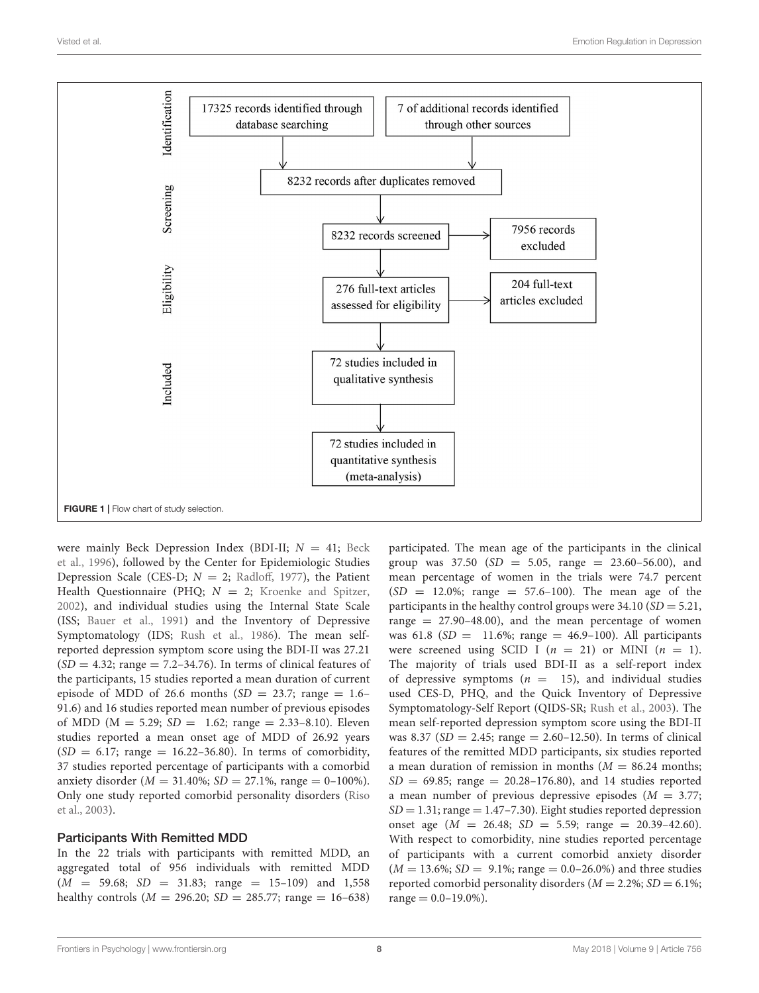

<span id="page-7-0"></span>were mainly Beck Depression Index (BDI-II;  $N = 41$ ; Beck et al., [1996\)](#page-17-26), followed by the Center for Epidemiologic Studies Depression Scale (CES-D;  $N = 2$ ; [Radloff, 1977\)](#page-19-26), the Patient Health Questionnaire (PHQ;  $N = 2$ ; [Kroenke and Spitzer,](#page-18-32) [2002\)](#page-18-32), and individual studies using the Internal State Scale (ISS; [Bauer et al., 1991\)](#page-17-27) and the Inventory of Depressive Symptomatology (IDS; [Rush et al., 1986\)](#page-19-27). The mean selfreported depression symptom score using the BDI-II was 27.21  $(SD = 4.32;$  range  $= 7.2 - 34.76$ ). In terms of clinical features of the participants, 15 studies reported a mean duration of current episode of MDD of 26.6 months  $(SD = 23.7;$  range = 1.6– 91.6) and 16 studies reported mean number of previous episodes of MDD ( $M = 5.29$ ;  $SD = 1.62$ ; range = 2.33-8.10). Eleven studies reported a mean onset age of MDD of 26.92 years  $SD = 6.17$ ; range = 16.22–36.80). In terms of comorbidity, 37 studies reported percentage of participants with a comorbid anxiety disorder ( $M = 31.40\%$ ;  $SD = 27.1\%$ , range = 0-100%). Only one study reported comorbid personality disorders (Riso et al., [2003\)](#page-19-28).

#### Participants With Remitted MDD

In the 22 trials with participants with remitted MDD, an aggregated total of 956 individuals with remitted MDD  $(M = 59.68; SD = 31.83; range = 15-109)$  and 1,558 healthy controls ( $M = 296.20$ ;  $SD = 285.77$ ; range = 16-638) participated. The mean age of the participants in the clinical group was  $37.50$  (SD = 5.05, range = 23.60-56.00), and mean percentage of women in the trials were 74.7 percent  $(SD = 12.0\%;$  range = 57.6-100). The mean age of the participants in the healthy control groups were  $34.10$  (SD = 5.21, range  $= 27.90 - 48.00$ , and the mean percentage of women was 61.8 ( $SD = 11.6\%$ ; range = 46.9–100). All participants were screened using SCID I ( $n = 21$ ) or MINI ( $n = 1$ ). The majority of trials used BDI-II as a self-report index of depressive symptoms ( $n = 15$ ), and individual studies used CES-D, PHQ, and the Quick Inventory of Depressive Symptomatology-Self Report (QIDS-SR; [Rush et al., 2003\)](#page-19-29). The mean self-reported depression symptom score using the BDI-II was 8.37 ( $SD = 2.45$ ; range = 2.60-12.50). In terms of clinical features of the remitted MDD participants, six studies reported a mean duration of remission in months  $(M = 86.24$  months;  $SD = 69.85$ ; range = 20.28-176.80), and 14 studies reported a mean number of previous depressive episodes  $(M = 3.77)$ ;  $SD = 1.31$ ; range  $= 1.47 - 7.30$ ). Eight studies reported depression onset age  $(M = 26.48; SD = 5.59; range = 20.39-42.60)$ . With respect to comorbidity, nine studies reported percentage of participants with a current comorbid anxiety disorder  $(M = 13.6\%; SD = 9.1\%; range = 0.0-26.0\%)$  and three studies reported comorbid personality disorders ( $M = 2.2$ %;  $SD = 6.1$ %; range  $= 0.0 - 19.0\%$ ).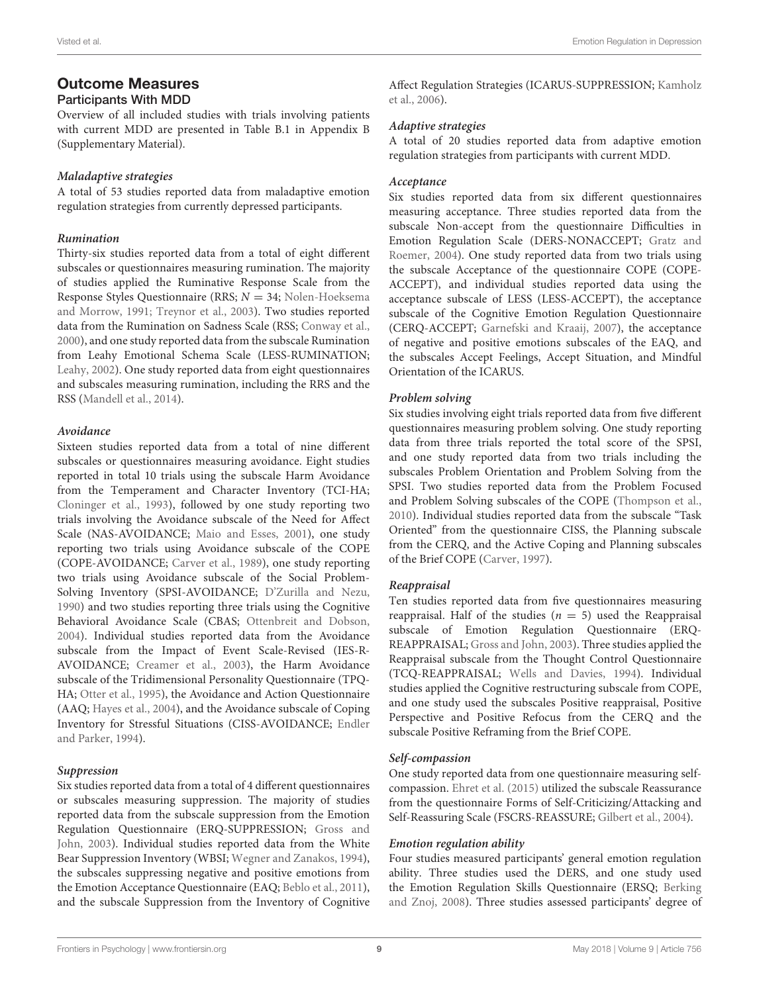# Outcome Measures

#### Participants With MDD

Overview of all included studies with trials involving patients with current MDD are presented in Table B.1 in Appendix B (Supplementary Material).

#### **Maladaptive strategies**

A total of 53 studies reported data from maladaptive emotion regulation strategies from currently depressed participants.

#### **Rumination**

Thirty-six studies reported data from a total of eight different subscales or questionnaires measuring rumination. The majority of studies applied the Ruminative Response Scale from the Response Styles Questionnaire (RRS;  $N = 34$ ; Nolen-Hoeksema and Morrow, [1991;](#page-19-30) [Treynor et al., 2003\)](#page-19-17). Two studies reported data from the Rumination on Sadness Scale (RSS; [Conway et al.,](#page-17-28) [2000\)](#page-17-28), and one study reported data from the subscale Rumination from Leahy Emotional Schema Scale (LESS-RUMINATION; [Leahy, 2002\)](#page-18-33). One study reported data from eight questionnaires and subscales measuring rumination, including the RRS and the RSS [\(Mandell et al., 2014\)](#page-18-34).

#### **Avoidance**

Sixteen studies reported data from a total of nine different subscales or questionnaires measuring avoidance. Eight studies reported in total 10 trials using the subscale Harm Avoidance from the Temperament and Character Inventory (TCI-HA; [Cloninger et al., 1993\)](#page-17-29), followed by one study reporting two trials involving the Avoidance subscale of the Need for Affect Scale (NAS-AVOIDANCE; [Maio and Esses, 2001\)](#page-18-35), one study reporting two trials using Avoidance subscale of the COPE (COPE-AVOIDANCE; [Carver et al., 1989\)](#page-17-30), one study reporting two trials using Avoidance subscale of the Social Problem-Solving Inventory (SPSI-AVOIDANCE; [D'Zurilla and Nezu,](#page-17-31) [1990\)](#page-17-31) and two studies reporting three trials using the Cognitive Behavioral Avoidance Scale (CBAS; [Ottenbreit and Dobson,](#page-19-31) [2004\)](#page-19-31). Individual studies reported data from the Avoidance subscale from the Impact of Event Scale-Revised (IES-R-AVOIDANCE; [Creamer et al., 2003\)](#page-17-32), the Harm Avoidance subscale of the Tridimensional Personality Questionnaire (TPQ-HA; [Otter et al., 1995\)](#page-19-32), the Avoidance and Action Questionnaire (AAQ; [Hayes et al., 2004\)](#page-18-11), and the Avoidance subscale of Coping Inventory for Stressful Situations (CISS-AVOIDANCE; Endler and Parker, [1994\)](#page-17-33).

#### **Suppression**

Six studies reported data from a total of 4 different questionnaires or subscales measuring suppression. The majority of studies reported data from the subscale suppression from the Emotion Regulation Questionnaire (ERQ-SUPPRESSION; Gross and John, [2003\)](#page-18-9). Individual studies reported data from the White Bear Suppression Inventory (WBSI; [Wegner and Zanakos, 1994\)](#page-19-33), the subscales suppressing negative and positive emotions from the Emotion Acceptance Questionnaire (EAQ; [Beblo et al., 2011\)](#page-17-34), and the subscale Suppression from the Inventory of Cognitive Affect Regulation Strategies (ICARUS-SUPPRESSION; Kamholz et al., [2006\)](#page-18-36).

#### **Adaptive strategies**

A total of 20 studies reported data from adaptive emotion regulation strategies from participants with current MDD.

#### **Acceptance**

Six studies reported data from six different questionnaires measuring acceptance. Three studies reported data from the subscale Non-accept from the questionnaire Difficulties in Emotion Regulation Scale (DERS-NONACCEPT; Gratz and Roemer, [2004\)](#page-18-14). One study reported data from two trials using the subscale Acceptance of the questionnaire COPE (COPE-ACCEPT), and individual studies reported data using the acceptance subscale of LESS (LESS-ACCEPT), the acceptance subscale of the Cognitive Emotion Regulation Questionnaire (CERQ-ACCEPT; [Garnefski and Kraaij, 2007\)](#page-18-37), the acceptance of negative and positive emotions subscales of the EAQ, and the subscales Accept Feelings, Accept Situation, and Mindful Orientation of the ICARUS.

#### **Problem solving**

Six studies involving eight trials reported data from five different questionnaires measuring problem solving. One study reporting data from three trials reported the total score of the SPSI, and one study reported data from two trials including the subscales Problem Orientation and Problem Solving from the SPSI. Two studies reported data from the Problem Focused and Problem Solving subscales of the COPE [\(Thompson et al.,](#page-19-34) [2010\)](#page-19-34). Individual studies reported data from the subscale "Task Oriented" from the questionnaire CISS, the Planning subscale from the CERQ, and the Active Coping and Planning subscales of the Brief COPE [\(Carver, 1997\)](#page-17-35).

#### **Reappraisal**

Ten studies reported data from five questionnaires measuring reappraisal. Half of the studies  $(n = 5)$  used the Reappraisal subscale of Emotion Regulation Questionnaire (ERQ-REAPPRAISAL; [Gross and John, 2003\)](#page-18-9). Three studies applied the Reappraisal subscale from the Thought Control Questionnaire (TCQ-REAPPRAISAL; [Wells and Davies, 1994\)](#page-19-35). Individual studies applied the Cognitive restructuring subscale from COPE, and one study used the subscales Positive reappraisal, Positive Perspective and Positive Refocus from the CERQ and the subscale Positive Reframing from the Brief COPE.

#### **Self-compassion**

One study reported data from one questionnaire measuring selfcompassion. [Ehret et al. \(2015\)](#page-17-3) utilized the subscale Reassurance from the questionnaire Forms of Self-Criticizing/Attacking and Self-Reassuring Scale (FSCRS-REASSURE; [Gilbert et al., 2004\)](#page-18-38).

#### **Emotion regulation ability**

Four studies measured participants' general emotion regulation ability. Three studies used the DERS, and one study used the Emotion Regulation Skills Questionnaire (ERSQ; Berking and Znoj, [2008\)](#page-17-9). Three studies assessed participants' degree of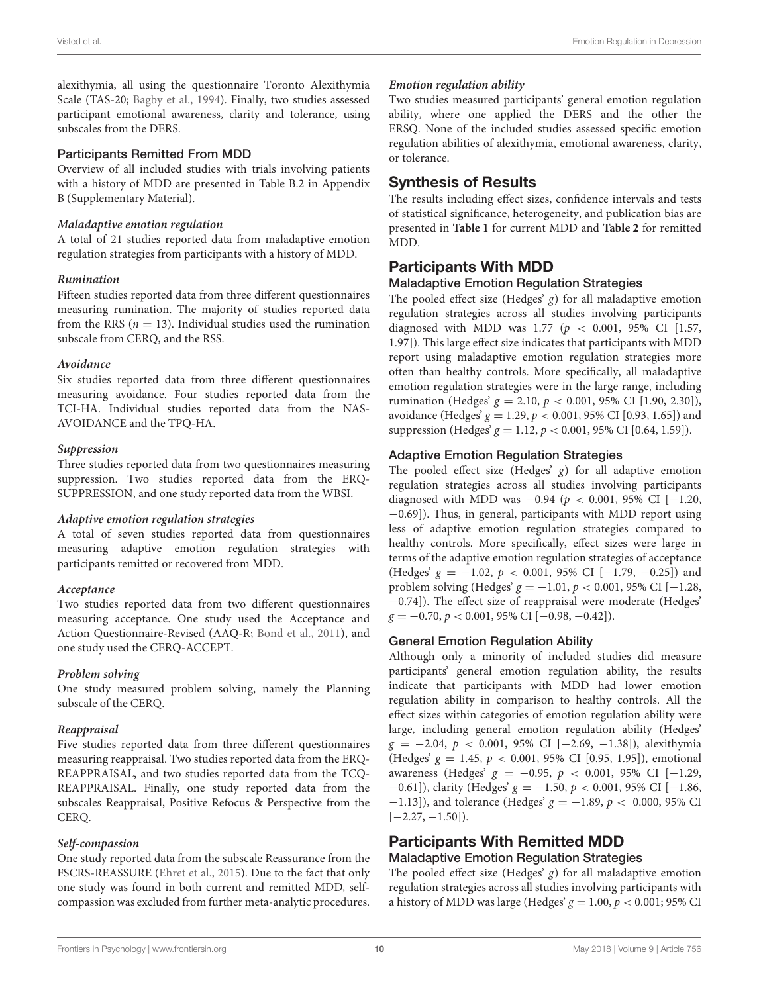alexithymia, all using the questionnaire Toronto Alexithymia Scale (TAS-20; [Bagby et al., 1994\)](#page-17-36). Finally, two studies assessed participant emotional awareness, clarity and tolerance, using subscales from the DERS.

#### Participants Remitted From MDD

Overview of all included studies with trials involving patients with a history of MDD are presented in Table B.2 in Appendix B (Supplementary Material).

#### **Maladaptive emotion regulation**

A total of 21 studies reported data from maladaptive emotion regulation strategies from participants with a history of MDD.

#### **Rumination**

Fifteen studies reported data from three different questionnaires measuring rumination. The majority of studies reported data from the RRS ( $n = 13$ ). Individual studies used the rumination subscale from CERQ, and the RSS.

#### **Avoidance**

Six studies reported data from three different questionnaires measuring avoidance. Four studies reported data from the TCI-HA. Individual studies reported data from the NAS-AVOIDANCE and the TPQ-HA.

#### **Suppression**

Three studies reported data from two questionnaires measuring suppression. Two studies reported data from the ERQ-SUPPRESSION, and one study reported data from the WBSI.

#### **Adaptive emotion regulation strategies**

A total of seven studies reported data from questionnaires measuring adaptive emotion regulation strategies with participants remitted or recovered from MDD.

#### **Acceptance**

Two studies reported data from two different questionnaires measuring acceptance. One study used the Acceptance and Action Questionnaire-Revised (AAQ-R; [Bond et al., 2011\)](#page-17-37), and one study used the CERQ-ACCEPT.

#### **Problem solving**

One study measured problem solving, namely the Planning subscale of the CERQ.

#### **Reappraisal**

Five studies reported data from three different questionnaires measuring reappraisal. Two studies reported data from the ERQ-REAPPRAISAL, and two studies reported data from the TCQ-REAPPRAISAL. Finally, one study reported data from the subscales Reappraisal, Positive Refocus & Perspective from the CERQ.

#### **Self-compassion**

One study reported data from the subscale Reassurance from the FSCRS-REASSURE [\(Ehret et al., 2015\)](#page-17-3). Due to the fact that only one study was found in both current and remitted MDD, selfcompassion was excluded from further meta-analytic procedures.

#### **Emotion regulation ability**

Two studies measured participants' general emotion regulation ability, where one applied the DERS and the other the ERSQ. None of the included studies assessed specific emotion regulation abilities of alexithymia, emotional awareness, clarity, or tolerance.

### Synthesis of Results

The results including effect sizes, confidence intervals and tests of statistical significance, heterogeneity, and publication bias are presented in **[Table 1](#page-10-0)** for current MDD and **[Table 2](#page-10-1)** for remitted MDD.

### Participants With MDD

#### Maladaptive Emotion Regulation Strategies

The pooled effect size (Hedges'  $g$ ) for all maladaptive emotion regulation strategies across all studies involving participants diagnosed with MDD was 1.77 ( $p < 0.001$ , 95% CI [1.57, 1.97]). This large effect size indicates that participants with MDD report using maladaptive emotion regulation strategies more often than healthy controls. More specifically, all maladaptive emotion regulation strategies were in the large range, including rumination (Hedges'  $g = 2.10$ ,  $p < 0.001$ , 95% CI [1.90, 2.30]), avoidance (Hedges'  $g = 1.29$ ,  $p < 0.001$ , 95% CI [0.93, 1.65]) and suppression (Hedges'  $g = 1.12$ ,  $p < 0.001$ , 95% CI [0.64, 1.59]).

#### Adaptive Emotion Regulation Strategies

The pooled effect size (Hedges'  $g$ ) for all adaptive emotion regulation strategies across all studies involving participants diagnosed with MDD was  $-0.94$  ( $p < 0.001$ , 95% CI [−1.20, −0.69]). Thus, in general, participants with MDD report using less of adaptive emotion regulation strategies compared to healthy controls. More specifically, effect sizes were large in terms of the adaptive emotion regulation strategies of acceptance (Hedges'  $g = -1.02$ ,  $p < 0.001$ , 95% CI [-1.79, -0.25]) and problem solving (Hedges'  $g = -1.01$ ,  $p < 0.001$ , 95% CI [-1.28, −0.74]). The effect size of reappraisal were moderate (Hedges'  $g = -0.70, p < 0.001, 95\%$  CI  $[-0.98, -0.42]$ .

#### General Emotion Regulation Ability

Although only a minority of included studies did measure participants' general emotion regulation ability, the results indicate that participants with MDD had lower emotion regulation ability in comparison to healthy controls. All the effect sizes within categories of emotion regulation ability were large, including general emotion regulation ability (Hedges'  $g = -2.04, p < 0.001, 95\%$  CI [-2.69, -1.38]), alexithymia (Hedges'  $g = 1.45$ ,  $p < 0.001$ , 95% CI [0.95, 1.95]), emotional awareness (Hedges'  $g = -0.95$ ,  $p < 0.001$ , 95% CI [-1.29,  $-0.61$ ]), clarity (Hedges'  $g = -1.50, p < 0.001, 95\%$  CI [-1.86,  $-1.13$ ]), and tolerance (Hedges'  $g = -1.89$ ,  $p < 0.000$ , 95% CI  $[-2.27, -1.50]$ ).

# Participants With Remitted MDD

### Maladaptive Emotion Regulation Strategies

The pooled effect size (Hedges'  $g$ ) for all maladaptive emotion regulation strategies across all studies involving participants with a history of MDD was large (Hedges'  $g = 1.00$ ,  $p < 0.001$ ; 95% CI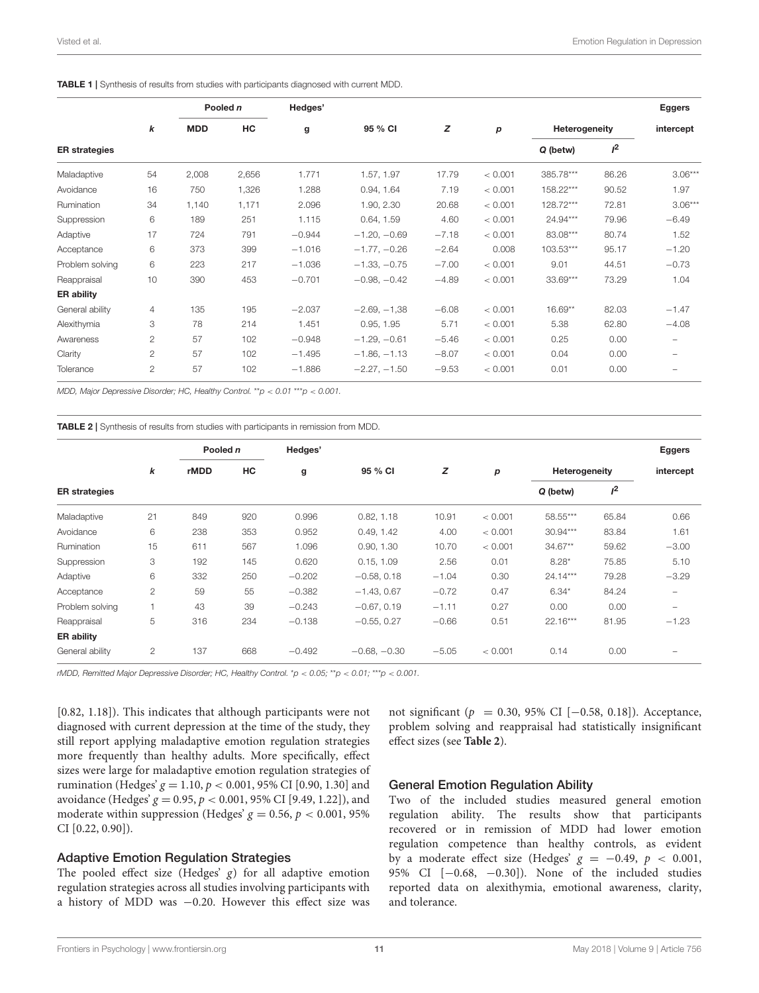<span id="page-10-0"></span>

|  |  | <b>TABLE 1</b> Synthesis of results from studies with participants diagnosed with current MDD. |  |
|--|--|------------------------------------------------------------------------------------------------|--|
|  |  |                                                                                                |  |

|                      |              |            | Pooled n | Hedges'  |                |         |         |               |       | <b>Eggers</b> |
|----------------------|--------------|------------|----------|----------|----------------|---------|---------|---------------|-------|---------------|
|                      | k            | <b>MDD</b> | HC       | g        | 95 % CI        | z       | p       | Heterogeneity |       | intercept     |
| <b>ER</b> strategies |              |            |          |          |                |         |         | Q (betw)      | $I^2$ |               |
| Maladaptive          | 54           | 2,008      | 2,656    | 1.771    | 1.57, 1.97     | 17.79   | < 0.001 | 385.78***     | 86.26 | $3.06***$     |
| Avoidance            | 16           | 750        | 1,326    | 1.288    | 0.94, 1.64     | 7.19    | < 0.001 | 158.22***     | 90.52 | 1.97          |
| Rumination           | 34           | 1,140      | 1,171    | 2.096    | 1.90, 2.30     | 20.68   | < 0.001 | 128.72***     | 72.81 | $3.06***$     |
| Suppression          | 6            | 189        | 251      | 1.115    | 0.64, 1.59     | 4.60    | < 0.001 | 24.94***      | 79.96 | $-6.49$       |
| Adaptive             | 17           | 724        | 791      | $-0.944$ | $-1.20, -0.69$ | $-7.18$ | < 0.001 | 83.08***      | 80.74 | 1.52          |
| Acceptance           | 6            | 373        | 399      | $-1.016$ | $-1.77, -0.26$ | $-2.64$ | 0.008   | 103.53***     | 95.17 | $-1.20$       |
| Problem solving      | 6            | 223        | 217      | $-1.036$ | $-1.33, -0.75$ | $-7.00$ | < 0.001 | 9.01          | 44.51 | $-0.73$       |
| Reappraisal          | 10           | 390        | 453      | $-0.701$ | $-0.98, -0.42$ | $-4.89$ | < 0.001 | 33.69***      | 73.29 | 1.04          |
| <b>ER ability</b>    |              |            |          |          |                |         |         |               |       |               |
| General ability      | 4            | 135        | 195      | $-2.037$ | $-2.69, -1.38$ | $-6.08$ | < 0.001 | 16.69**       | 82.03 | $-1.47$       |
| Alexithymia          | 3            | 78         | 214      | 1.451    | 0.95, 1.95     | 5.71    | < 0.001 | 5.38          | 62.80 | $-4.08$       |
| Awareness            | $\mathbf{2}$ | 57         | 102      | $-0.948$ | $-1.29, -0.61$ | $-5.46$ | < 0.001 | 0.25          | 0.00  |               |
| Clarity              | 2            | 57         | 102      | $-1.495$ | $-1.86, -1.13$ | $-8.07$ | < 0.001 | 0.04          | 0.00  |               |
| Tolerance            | 2            | 57         | 102      | $-1.886$ | $-2.27, -1.50$ | $-9.53$ | < 0.001 | 0.01          | 0.00  | -             |

MDD, Major Depressive Disorder; HC, Healthy Control.  $*_{p}$  < 0.01  $*_{p}$  < 0.001.

<span id="page-10-1"></span>TABLE 2 | Synthesis of results from studies with participants in remission from MDD.

|                      |                | Pooled n    |     | Hedges'  |                |         |         |               |       | <b>Eggers</b>     |
|----------------------|----------------|-------------|-----|----------|----------------|---------|---------|---------------|-------|-------------------|
|                      | k              | <b>rMDD</b> | HC  | g        | 95 % CI        | z       | р       | Heterogeneity |       | intercept         |
| <b>ER</b> strategies |                |             |     |          |                |         |         | Q (betw)      | $I^2$ |                   |
| Maladaptive          | 21             | 849         | 920 | 0.996    | 0.82, 1.18     | 10.91   | < 0.001 | 58.55***      | 65.84 | 0.66              |
| Avoidance            | 6              | 238         | 353 | 0.952    | 0.49, 1.42     | 4.00    | < 0.001 | $30.94***$    | 83.84 | 1.61              |
| Rumination           | 15             | 611         | 567 | 1.096    | 0.90, 1.30     | 10.70   | < 0.001 | 34.67**       | 59.62 | $-3.00$           |
| Suppression          | 3              | 192         | 145 | 0.620    | 0.15, 1.09     | 2.56    | 0.01    | $8.28*$       | 75.85 | 5.10              |
| Adaptive             | 6              | 332         | 250 | $-0.202$ | $-0.58, 0.18$  | $-1.04$ | 0.30    | $24.14***$    | 79.28 | $-3.29$           |
| Acceptance           | $\overline{c}$ | 59          | 55  | $-0.382$ | $-1.43, 0.67$  | $-0.72$ | 0.47    | $6.34*$       | 84.24 | $\qquad \qquad -$ |
| Problem solving      |                | 43          | 39  | $-0.243$ | $-0.67, 0.19$  | $-1.11$ | 0.27    | 0.00          | 0.00  | $\qquad \qquad -$ |
| Reappraisal          | 5              | 316         | 234 | $-0.138$ | $-0.55, 0.27$  | $-0.66$ | 0.51    | $22.16***$    | 81.95 | $-1.23$           |
| <b>ER ability</b>    |                |             |     |          |                |         |         |               |       |                   |
| General ability      | $\mathbf{2}$   | 137         | 668 | $-0.492$ | $-0.68, -0.30$ | $-5.05$ | < 0.001 | 0.14          | 0.00  |                   |

rMDD, Remitted Major Depressive Disorder; HC, Healthy Control. \*p < 0.05; \*\*p < 0.01; \*\*\*p < 0.001.

[0.82, 1.18]). This indicates that although participants were not diagnosed with current depression at the time of the study, they still report applying maladaptive emotion regulation strategies more frequently than healthy adults. More specifically, effect sizes were large for maladaptive emotion regulation strategies of rumination (Hedges'  $g = 1.10$ ,  $p < 0.001$ , 95% CI [0.90, 1.30] and avoidance (Hedges'  $g = 0.95$ ,  $p < 0.001$ , 95% CI [9.49, 1.22]), and moderate within suppression (Hedges'  $g = 0.56$ ,  $p < 0.001$ , 95% CI [0.22, 0.90]).

#### Adaptive Emotion Regulation Strategies

The pooled effect size (Hedges'  $g$ ) for all adaptive emotion regulation strategies across all studies involving participants with a history of MDD was −0.20. However this effect size was

not significant ( $p = 0.30, 95\%$  CI [−0.58, 0.18]). Acceptance, problem solving and reappraisal had statistically insignificant effect sizes (see **[Table 2](#page-10-1)**).

#### General Emotion Regulation Ability

Two of the included studies measured general emotion regulation ability. The results show that participants recovered or in remission of MDD had lower emotion regulation competence than healthy controls, as evident by a moderate effect size (Hedges'  $g = -0.49$ ,  $p < 0.001$ , 95% CI [−0.68, −0.30]). None of the included studies reported data on alexithymia, emotional awareness, clarity, and tolerance.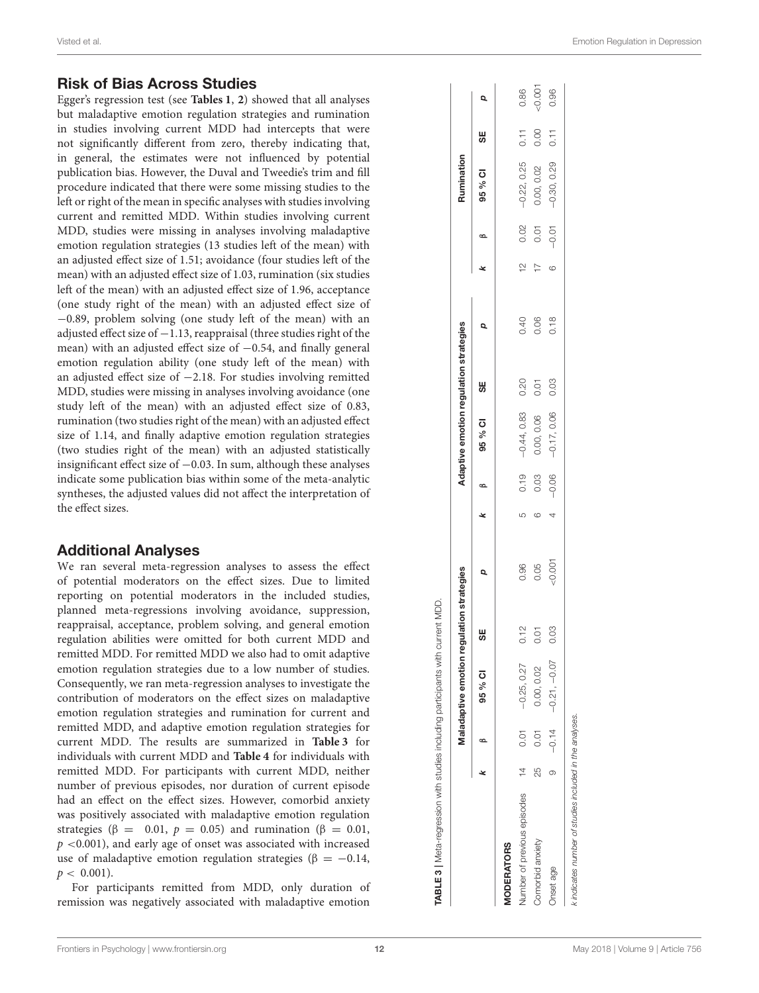### Risk of Bias Across Studies

Egger's regression test (see **[Tables 1](#page-10-0)** , **[2](#page-10-1)**) showed that all analyses but maladaptive emotion regulation strategies and rumination in studies involving current MDD had intercepts that were not significantly different from zero, thereby indicating that, in general, the estimates were not influenced by potential publication bias. However, the Duval and Tweedie's trim and fill procedure indicated that there were some missing studies to the left or right of the mean in specific analyses with studies involving current and remitted MDD. Within studies involving current MDD, studies were missing in analyses involving maladaptive emotion regulation strategies (13 studies left of the mean) with an adjusted effect size of 1.51; avoidance (four studies left of the mean) with an adjusted effect size of 1.03, rumination (six studies left of the mean) with an adjusted effect size of 1.96, acceptanc e (one study right of the mean) with an adjusted effect size of −0.89, problem solving (one study left of the mean) with an adjusted effect size of −1.13, reappraisal (three studies right of the mean) with an adjusted effect size of −0.54, and finally general emotion regulation ability (one study left of the mean) with an adjusted effect size of −2.18. For studies involving remitted MDD, studies were missing in analyses involving avoidance (one study left of the mean) with an adjusted effect size of 0.83, rumination (two studies right of the mean) with an adjusted effect size of 1.14, and finally adaptive emotion regulation strategies (two studies right of the mean) with an adjusted statistically insignificant effect size of −0.03. In sum, although these analyses indicate some publication bias within some of the meta-analytic syntheses, the adjusted values did not affect the interpretation of the effect sizes.

### Additional Analyses

We ran several meta-regression analyses to assess the effect of potential moderators on the effect sizes. Due to limited reporting on potential moderators in the included studies, planned meta-regressions involving avoidance, suppression, reappraisal, acceptance, problem solving, and general emotion regulation abilities were omitted for both current MDD and remitted MDD. For remitted MDD we also had to omit adaptive emotion regulation strategies due to a low number of studies . Consequently, we ran meta-regression analyses to investigate the contribution of moderators on the effect sizes on maladaptive emotion regulation strategies and rumination for current and remitted MDD, and adaptive emotion regulation strategies for current MDD. The results are summarized in **[Table 3](#page-11-0)** for individuals with current MDD and **[Table 4](#page-12-0)** for individuals with remitted MDD. For participants with current MDD, neither number of previous episodes, nor duration of current episode had an effect on the effect sizes. However, comorbid anxiety was positively associated with maladaptive emotion regulation strategies ( $\beta = 0.01$ ,  $p = 0.05$ ) and rumination ( $\beta = 0.01$ ,  $p$  <0.001), and early age of onset was associated with increased use of maladaptive emotion regulation strategies (β = −0.14,  $p < 0.001$ ).

For participants remitted from MDD, only duration of remission was negatively associated with maladaptive emotion

|                                 |               |      | Maladaptive emotion re    | regulation strategies |        |   |                | Adaptive emotion regulation strategies |      |      |               |         | Rumination    |      |          |
|---------------------------------|---------------|------|---------------------------|-----------------------|--------|---|----------------|----------------------------------------|------|------|---------------|---------|---------------|------|----------|
|                                 |               | B    | 95 % CI                   | 56                    | Q      |   | $\overline{a}$ | 95 % CI                                | 5    | Q    | $\theta$      |         | 95 % CI       | 56   | Q        |
| <b><i><u>IODERATORS</u></i></b> |               |      |                           |                       |        |   |                |                                        |      |      |               |         |               |      |          |
| lumber of previous episodes     | $\frac{1}{4}$ | 0.01 | $-0.25, 0.27$             | 0.12                  | 0.96   | 5 | 0.19           | $-0.44, 0.83$                          | 0.20 | 0.40 | $\frac{1}{2}$ | 0.02    | $-0.22, 0.25$ | 0.11 | 0.86     |
| Comorbid anxiety                | 25            | 0.01 | 0.00, 0.02                | 0.01                  | 0.05   |   | 0.03           | 0.00, 0.06                             | 0.01 | 0.06 |               | 0.01    | 0.00, 0.02    | 0.00 | $-0.001$ |
| Inset age                       |               |      | $-0.14$ $-0.21$ , $-0.07$ | 0.03                  | 50.001 |   | $-0.06$        | $-0.17, 0.06$                          | 0.03 | 0.18 |               | $-0.01$ | $-0.30, 0.29$ | 0.11 | 0.96     |
|                                 |               |      |                           |                       |        |   |                |                                        |      |      |               |         |               |      |          |

<span id="page-11-0"></span>k indicates number of studies included in the analyses. k indicates number of studies included in the analyses

TABLE 3 | Meta-regression with studies including participants with current MDD.

**TABLE 3** | Meta-regression with studies including participants with current MDD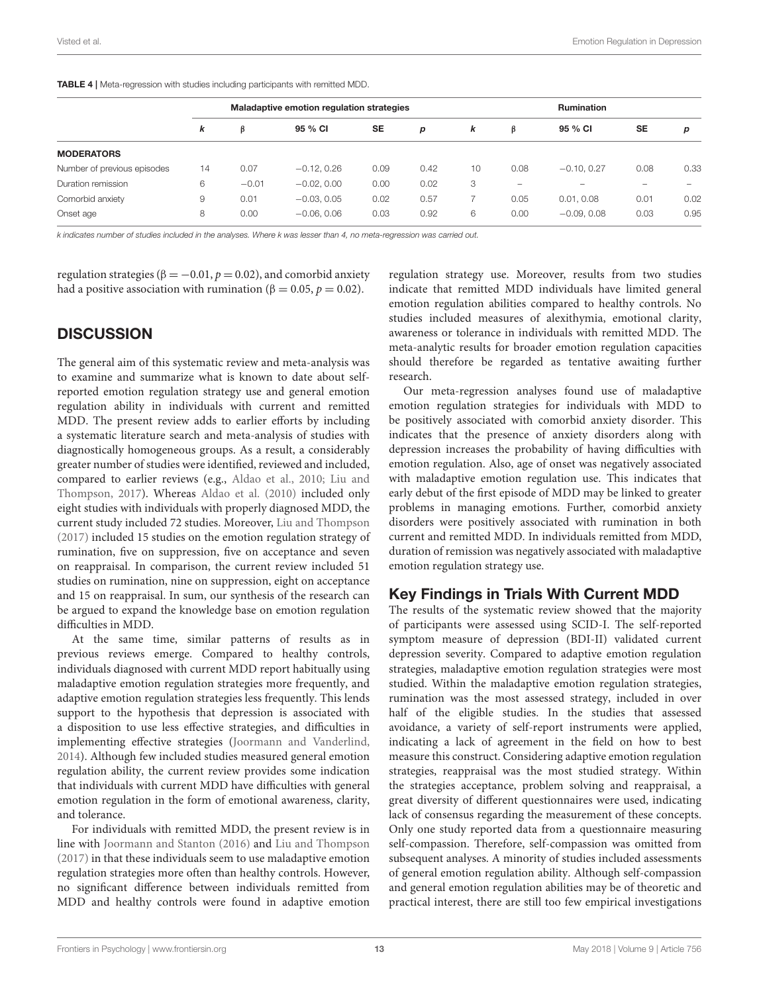|                             |    |         | Maladaptive emotion regulation strategies |           |      |    |      | <b>Rumination</b> |           |      |
|-----------------------------|----|---------|-------------------------------------------|-----------|------|----|------|-------------------|-----------|------|
|                             | k  | ß       | 95 % CI                                   | <b>SE</b> | p    | k  | β    | 95 % CI           | <b>SE</b> | p    |
| <b>MODERATORS</b>           |    |         |                                           |           |      |    |      |                   |           |      |
| Number of previous episodes | 14 | 0.07    | $-0.12, 0.26$                             | 0.09      | 0.42 | 10 | 0.08 | $-0.10, 0.27$     | 0.08      | 0.33 |
| Duration remission          | 6  | $-0.01$ | $-0.02, 0.00$                             | 0.00      | 0.02 | 3  | -    |                   |           |      |
| Comorbid anxiety            | 9  | 0.01    | $-0.03, 0.05$                             | 0.02      | 0.57 | ⇁  | 0.05 | 0.01, 0.08        | 0.01      | 0.02 |
| Onset age                   | 8  | 0.00    | $-0.06, 0.06$                             | 0.03      | 0.92 | 6  | 0.00 | $-0.09, 0.08$     | 0.03      | 0.95 |

<span id="page-12-0"></span>TABLE 4 | Meta-regression with studies including participants with remitted MDD.

k indicates number of studies included in the analyses. Where k was lesser than 4, no meta-regression was carried out.

regulation strategies ( $\beta = -0.01$ ,  $p = 0.02$ ), and comorbid anxiety had a positive association with rumination (β = 0.05,  $p = 0.02$ ).

### **DISCUSSION**

The general aim of this systematic review and meta-analysis was to examine and summarize what is known to date about selfreported emotion regulation strategy use and general emotion regulation ability in individuals with current and remitted MDD. The present review adds to earlier efforts by including a systematic literature search and meta-analysis of studies with diagnostically homogeneous groups. As a result, a considerably greater number of studies were identified, reviewed and included, compared to earlier reviews (e.g., [Aldao et al., 2010;](#page-17-7) Liu and Thompson, [2017\)](#page-18-18). Whereas [Aldao et al. \(2010\)](#page-17-7) included only eight studies with individuals with properly diagnosed MDD, the current study included 72 studies. Moreover, [Liu and Thompson](#page-18-18) [\(2017\)](#page-18-18) included 15 studies on the emotion regulation strategy of rumination, five on suppression, five on acceptance and seven on reappraisal. In comparison, the current review included 51 studies on rumination, nine on suppression, eight on acceptance and 15 on reappraisal. In sum, our synthesis of the research can be argued to expand the knowledge base on emotion regulation difficulties in MDD.

At the same time, similar patterns of results as in previous reviews emerge. Compared to healthy controls, individuals diagnosed with current MDD report habitually using maladaptive emotion regulation strategies more frequently, and adaptive emotion regulation strategies less frequently. This lends support to the hypothesis that depression is associated with a disposition to use less effective strategies, and difficulties in implementing effective strategies [\(Joormann and Vanderlind,](#page-18-17) [2014\)](#page-18-17). Although few included studies measured general emotion regulation ability, the current review provides some indication that individuals with current MDD have difficulties with general emotion regulation in the form of emotional awareness, clarity, and tolerance.

For individuals with remitted MDD, the present review is in line with [Joormann and Stanton \(2016\)](#page-18-5) and [Liu and Thompson](#page-18-18) [\(2017\)](#page-18-18) in that these individuals seem to use maladaptive emotion regulation strategies more often than healthy controls. However, no significant difference between individuals remitted from MDD and healthy controls were found in adaptive emotion regulation strategy use. Moreover, results from two studies indicate that remitted MDD individuals have limited general emotion regulation abilities compared to healthy controls. No studies included measures of alexithymia, emotional clarity, awareness or tolerance in individuals with remitted MDD. The meta-analytic results for broader emotion regulation capacities should therefore be regarded as tentative awaiting further research.

Our meta-regression analyses found use of maladaptive emotion regulation strategies for individuals with MDD to be positively associated with comorbid anxiety disorder. This indicates that the presence of anxiety disorders along with depression increases the probability of having difficulties with emotion regulation. Also, age of onset was negatively associated with maladaptive emotion regulation use. This indicates that early debut of the first episode of MDD may be linked to greater problems in managing emotions. Further, comorbid anxiety disorders were positively associated with rumination in both current and remitted MDD. In individuals remitted from MDD, duration of remission was negatively associated with maladaptive emotion regulation strategy use.

### Key Findings in Trials With Current MDD

The results of the systematic review showed that the majority of participants were assessed using SCID-I. The self-reported symptom measure of depression (BDI-II) validated current depression severity. Compared to adaptive emotion regulation strategies, maladaptive emotion regulation strategies were most studied. Within the maladaptive emotion regulation strategies, rumination was the most assessed strategy, included in over half of the eligible studies. In the studies that assessed avoidance, a variety of self-report instruments were applied, indicating a lack of agreement in the field on how to best measure this construct. Considering adaptive emotion regulation strategies, reappraisal was the most studied strategy. Within the strategies acceptance, problem solving and reappraisal, a great diversity of different questionnaires were used, indicating lack of consensus regarding the measurement of these concepts. Only one study reported data from a questionnaire measuring self-compassion. Therefore, self-compassion was omitted from subsequent analyses. A minority of studies included assessments of general emotion regulation ability. Although self-compassion and general emotion regulation abilities may be of theoretic and practical interest, there are still too few empirical investigations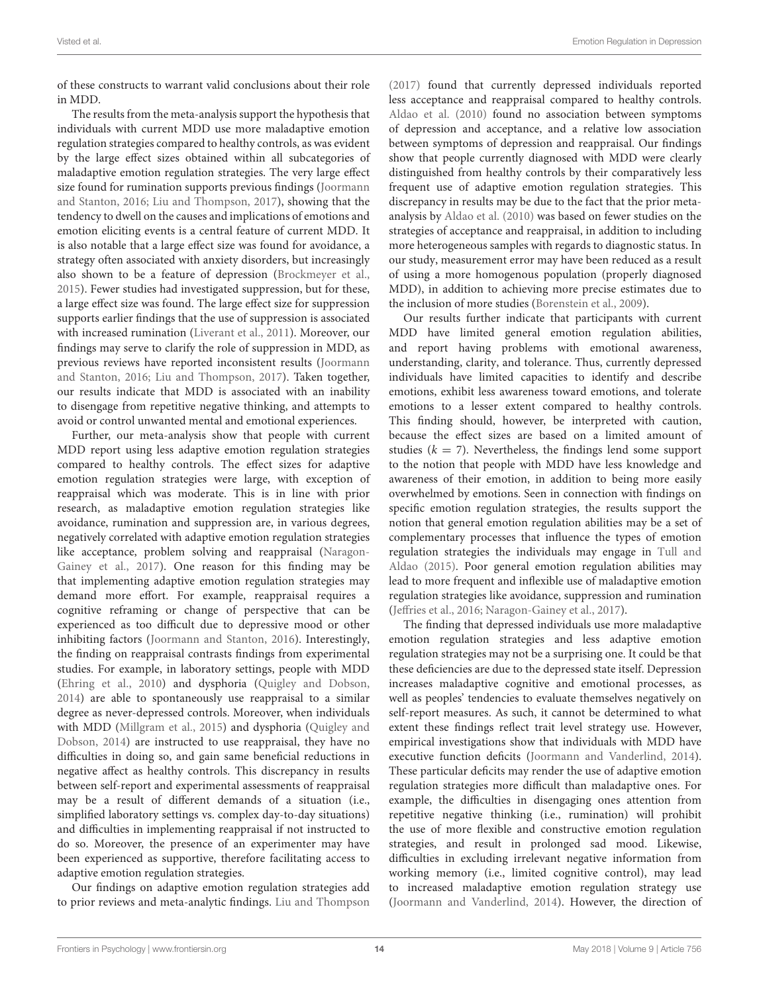of these constructs to warrant valid conclusions about their role in MDD.

The results from the meta-analysis support the hypothesis that individuals with current MDD use more maladaptive emotion regulation strategies compared to healthy controls, as was evident by the large effect sizes obtained within all subcategories of maladaptive emotion regulation strategies. The very large effect size found for rumination supports previous findings (Joormann and Stanton, [2016;](#page-18-5) [Liu and Thompson, 2017\)](#page-18-18), showing that the tendency to dwell on the causes and implications of emotions and emotion eliciting events is a central feature of current MDD. It is also notable that a large effect size was found for avoidance, a strategy often associated with anxiety disorders, but increasingly also shown to be a feature of depression [\(Brockmeyer et al.,](#page-17-13) [2015\)](#page-17-13). Fewer studies had investigated suppression, but for these, a large effect size was found. The large effect size for suppression supports earlier findings that the use of suppression is associated with increased rumination [\(Liverant et al., 2011\)](#page-18-22). Moreover, our findings may serve to clarify the role of suppression in MDD, as previous reviews have reported inconsistent results (Joormann and Stanton, [2016;](#page-18-5) [Liu and Thompson, 2017\)](#page-18-18). Taken together, our results indicate that MDD is associated with an inability to disengage from repetitive negative thinking, and attempts to avoid or control unwanted mental and emotional experiences.

Further, our meta-analysis show that people with current MDD report using less adaptive emotion regulation strategies compared to healthy controls. The effect sizes for adaptive emotion regulation strategies were large, with exception of reappraisal which was moderate. This is in line with prior research, as maladaptive emotion regulation strategies like avoidance, rumination and suppression are, in various degrees, negatively correlated with adaptive emotion regulation strategies like acceptance, problem solving and reappraisal (Naragon-Gainey et al., [2017\)](#page-19-14). One reason for this finding may be that implementing adaptive emotion regulation strategies may demand more effort. For example, reappraisal requires a cognitive reframing or change of perspective that can be experienced as too difficult due to depressive mood or other inhibiting factors [\(Joormann and Stanton, 2016\)](#page-18-5). Interestingly, the finding on reappraisal contrasts findings from experimental studies. For example, in laboratory settings, people with MDD [\(Ehring et al., 2010\)](#page-17-38) and dysphoria [\(Quigley and Dobson,](#page-19-36) [2014\)](#page-19-36) are able to spontaneously use reappraisal to a similar degree as never-depressed controls. Moreover, when individuals with MDD [\(Millgram et al., 2015\)](#page-18-39) and dysphoria (Quigley and Dobson, [2014\)](#page-19-36) are instructed to use reappraisal, they have no difficulties in doing so, and gain same beneficial reductions in negative affect as healthy controls. This discrepancy in results between self-report and experimental assessments of reappraisal may be a result of different demands of a situation (i.e., simplified laboratory settings vs. complex day-to-day situations) and difficulties in implementing reappraisal if not instructed to do so. Moreover, the presence of an experimenter may have been experienced as supportive, therefore facilitating access to adaptive emotion regulation strategies.

Our findings on adaptive emotion regulation strategies add to prior reviews and meta-analytic findings. [Liu and Thompson](#page-18-18) [\(2017\)](#page-18-18) found that currently depressed individuals reported less acceptance and reappraisal compared to healthy controls. [Aldao et al. \(2010\)](#page-17-7) found no association between symptoms of depression and acceptance, and a relative low association between symptoms of depression and reappraisal. Our findings show that people currently diagnosed with MDD were clearly distinguished from healthy controls by their comparatively less frequent use of adaptive emotion regulation strategies. This discrepancy in results may be due to the fact that the prior metaanalysis by [Aldao et al. \(2010\)](#page-17-7) was based on fewer studies on the strategies of acceptance and reappraisal, in addition to including more heterogeneous samples with regards to diagnostic status. In our study, measurement error may have been reduced as a result of using a more homogenous population (properly diagnosed MDD), in addition to achieving more precise estimates due to the inclusion of more studies [\(Borenstein et al., 2009\)](#page-17-39).

Our results further indicate that participants with current MDD have limited general emotion regulation abilities, and report having problems with emotional awareness, understanding, clarity, and tolerance. Thus, currently depressed individuals have limited capacities to identify and describe emotions, exhibit less awareness toward emotions, and tolerate emotions to a lesser extent compared to healthy controls. This finding should, however, be interpreted with caution, because the effect sizes are based on a limited amount of studies ( $k = 7$ ). Nevertheless, the findings lend some support to the notion that people with MDD have less knowledge and awareness of their emotion, in addition to being more easily overwhelmed by emotions. Seen in connection with findings on specific emotion regulation strategies, the results support the notion that general emotion regulation abilities may be a set of complementary processes that influence the types of emotion regulation strategies the individuals may engage in Tull and Aldao [\(2015\)](#page-19-5). Poor general emotion regulation abilities may lead to more frequent and inflexible use of maladaptive emotion regulation strategies like avoidance, suppression and rumination [\(Jeffries et al., 2016;](#page-18-16) [Naragon-Gainey et al., 2017\)](#page-19-14).

The finding that depressed individuals use more maladaptive emotion regulation strategies and less adaptive emotion regulation strategies may not be a surprising one. It could be that these deficiencies are due to the depressed state itself. Depression increases maladaptive cognitive and emotional processes, as well as peoples' tendencies to evaluate themselves negatively on self-report measures. As such, it cannot be determined to what extent these findings reflect trait level strategy use. However, empirical investigations show that individuals with MDD have executive function deficits [\(Joormann and Vanderlind, 2014\)](#page-18-17). These particular deficits may render the use of adaptive emotion regulation strategies more difficult than maladaptive ones. For example, the difficulties in disengaging ones attention from repetitive negative thinking (i.e., rumination) will prohibit the use of more flexible and constructive emotion regulation strategies, and result in prolonged sad mood. Likewise, difficulties in excluding irrelevant negative information from working memory (i.e., limited cognitive control), may lead to increased maladaptive emotion regulation strategy use [\(Joormann and Vanderlind, 2014\)](#page-18-17). However, the direction of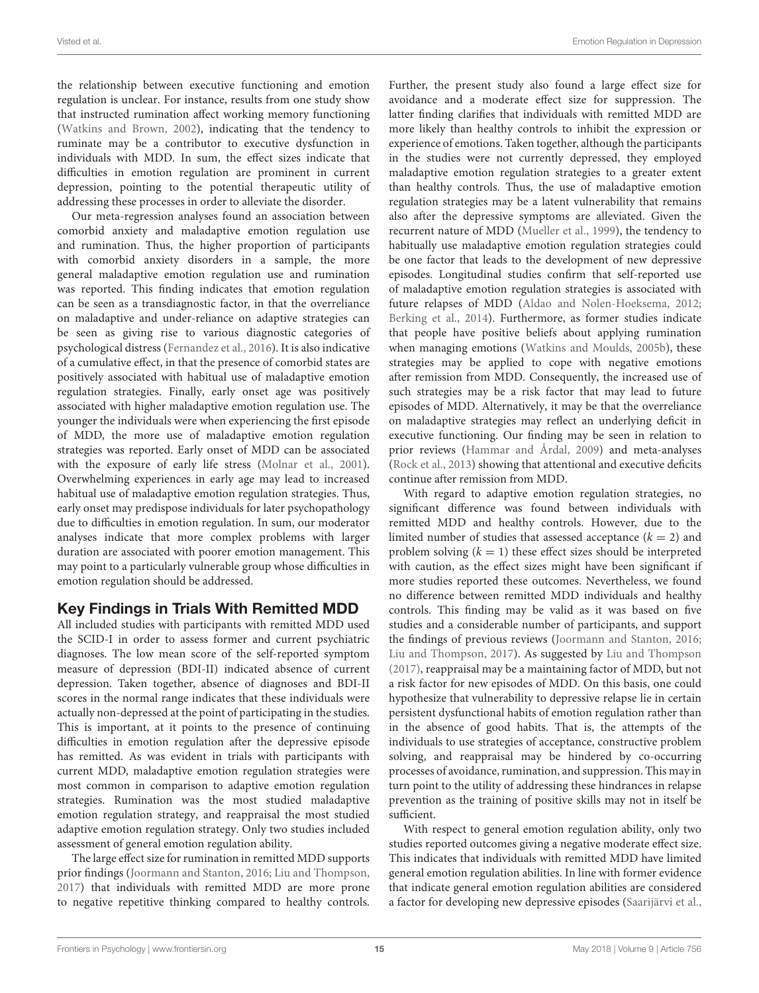the relationship between executive functioning and emotion regulation is unclear. For instance, results from one study show that instructed rumination affect working memory functioning [\(Watkins and Brown, 2002\)](#page-19-10), indicating that the tendency to ruminate may be a contributor to executive dysfunction in individuals with MDD. In sum, the effect sizes indicate that difficulties in emotion regulation are prominent in current depression, pointing to the potential therapeutic utility of addressing these processes in order to alleviate the disorder.

Our meta-regression analyses found an association between comorbid anxiety and maladaptive emotion regulation use and rumination. Thus, the higher proportion of participants with comorbid anxiety disorders in a sample, the more general maladaptive emotion regulation use and rumination was reported. This finding indicates that emotion regulation can be seen as a transdiagnostic factor, in that the overreliance on maladaptive and under-reliance on adaptive strategies can be seen as giving rise to various diagnostic categories of psychological distress [\(Fernandez et al., 2016\)](#page-17-22). It is also indicative of a cumulative effect, in that the presence of comorbid states are positively associated with habitual use of maladaptive emotion regulation strategies. Finally, early onset age was positively associated with higher maladaptive emotion regulation use. The younger the individuals were when experiencing the first episode of MDD, the more use of maladaptive emotion regulation strategies was reported. Early onset of MDD can be associated with the exposure of early life stress [\(Molnar et al., 2001\)](#page-18-27). Overwhelming experiences in early age may lead to increased habitual use of maladaptive emotion regulation strategies. Thus, early onset may predispose individuals for later psychopathology due to difficulties in emotion regulation. In sum, our moderator analyses indicate that more complex problems with larger duration are associated with poorer emotion management. This may point to a particularly vulnerable group whose difficulties in emotion regulation should be addressed.

### Key Findings in Trials With Remitted MDD

All included studies with participants with remitted MDD used the SCID-I in order to assess former and current psychiatric diagnoses. The low mean score of the self-reported symptom measure of depression (BDI-II) indicated absence of current depression. Taken together, absence of diagnoses and BDI-II scores in the normal range indicates that these individuals were actually non-depressed at the point of participating in the studies. This is important, at it points to the presence of continuing difficulties in emotion regulation after the depressive episode has remitted. As was evident in trials with participants with current MDD, maladaptive emotion regulation strategies were most common in comparison to adaptive emotion regulation strategies. Rumination was the most studied maladaptive emotion regulation strategy, and reappraisal the most studied adaptive emotion regulation strategy. Only two studies included assessment of general emotion regulation ability.

The large effect size for rumination in remitted MDD supports prior findings [\(Joormann and Stanton, 2016;](#page-18-5) [Liu and Thompson,](#page-18-18) [2017\)](#page-18-18) that individuals with remitted MDD are more prone to negative repetitive thinking compared to healthy controls. Further, the present study also found a large effect size for avoidance and a moderate effect size for suppression. The latter finding clarifies that individuals with remitted MDD are more likely than healthy controls to inhibit the expression or experience of emotions. Taken together, although the participants in the studies were not currently depressed, they employed maladaptive emotion regulation strategies to a greater extent than healthy controls. Thus, the use of maladaptive emotion regulation strategies may be a latent vulnerability that remains also after the depressive symptoms are alleviated. Given the recurrent nature of MDD [\(Mueller et al., 1999\)](#page-18-1), the tendency to habitually use maladaptive emotion regulation strategies could be one factor that leads to the development of new depressive episodes. Longitudinal studies confirm that self-reported use of maladaptive emotion regulation strategies is associated with future relapses of MDD [\(Aldao and Nolen-Hoeksema, 2012;](#page-17-40) [Berking et al., 2014\)](#page-17-41). Furthermore, as former studies indicate that people have positive beliefs about applying rumination when managing emotions [\(Watkins and Moulds, 2005b\)](#page-19-11), these strategies may be applied to cope with negative emotions after remission from MDD. Consequently, the increased use of such strategies may be a risk factor that may lead to future episodes of MDD. Alternatively, it may be that the overreliance on maladaptive strategies may reflect an underlying deficit in executive functioning. Our finding may be seen in relation to prior reviews [\(Hammar and Årdal, 2009\)](#page-18-40) and meta-analyses [\(Rock et al., 2013\)](#page-19-37) showing that attentional and executive deficits continue after remission from MDD.

With regard to adaptive emotion regulation strategies, no significant difference was found between individuals with remitted MDD and healthy controls. However, due to the limited number of studies that assessed acceptance  $(k = 2)$  and problem solving  $(k = 1)$  these effect sizes should be interpreted with caution, as the effect sizes might have been significant if more studies reported these outcomes. Nevertheless, we found no difference between remitted MDD individuals and healthy controls. This finding may be valid as it was based on five studies and a considerable number of participants, and support the findings of previous reviews [\(Joormann and Stanton, 2016;](#page-18-5) [Liu and Thompson, 2017\)](#page-18-18). As suggested by [Liu and Thompson](#page-18-18) [\(2017\)](#page-18-18), reappraisal may be a maintaining factor of MDD, but not a risk factor for new episodes of MDD. On this basis, one could hypothesize that vulnerability to depressive relapse lie in certain persistent dysfunctional habits of emotion regulation rather than in the absence of good habits. That is, the attempts of the individuals to use strategies of acceptance, constructive problem solving, and reappraisal may be hindered by co-occurring processes of avoidance, rumination, and suppression. This may in turn point to the utility of addressing these hindrances in relapse prevention as the training of positive skills may not in itself be sufficient.

With respect to general emotion regulation ability, only two studies reported outcomes giving a negative moderate effect size. This indicates that individuals with remitted MDD have limited general emotion regulation abilities. In line with former evidence that indicate general emotion regulation abilities are considered a factor for developing new depressive episodes [\(Saarijärvi et al.,](#page-19-8)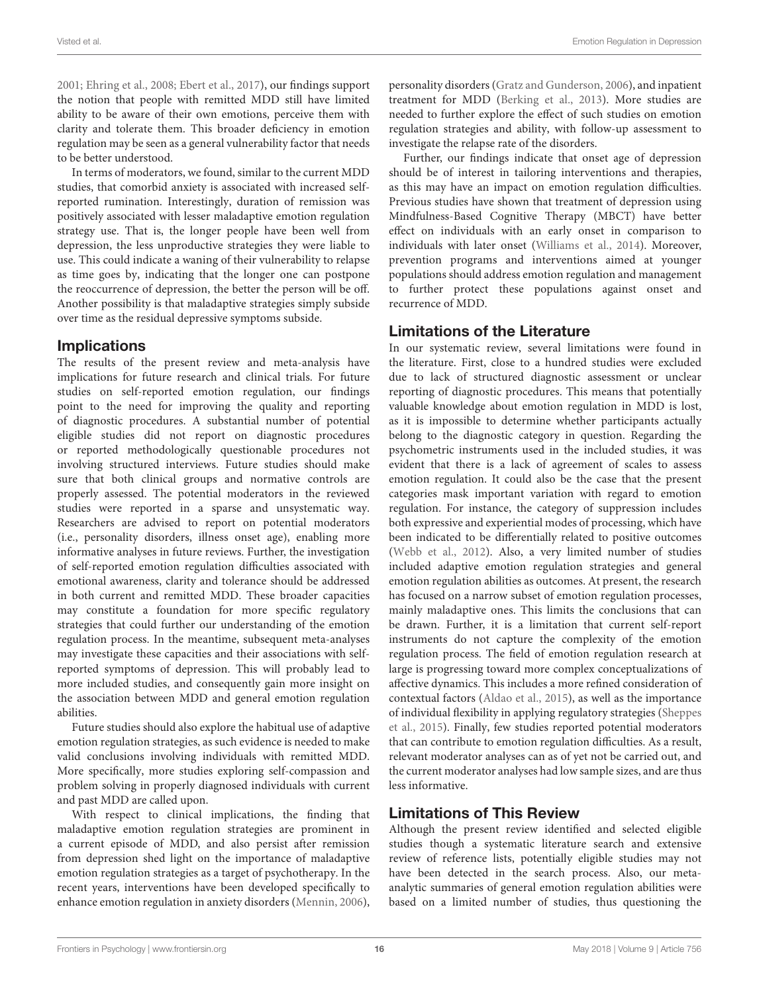[2001;](#page-19-8) [Ehring et al., 2008;](#page-17-20) [Ebert et al., 2017\)](#page-17-21), our findings support the notion that people with remitted MDD still have limited ability to be aware of their own emotions, perceive them with clarity and tolerate them. This broader deficiency in emotion regulation may be seen as a general vulnerability factor that needs to be better understood.

In terms of moderators, we found, similar to the current MDD studies, that comorbid anxiety is associated with increased selfreported rumination. Interestingly, duration of remission was positively associated with lesser maladaptive emotion regulation strategy use. That is, the longer people have been well from depression, the less unproductive strategies they were liable to use. This could indicate a waning of their vulnerability to relapse as time goes by, indicating that the longer one can postpone the reoccurrence of depression, the better the person will be off. Another possibility is that maladaptive strategies simply subside over time as the residual depressive symptoms subside.

### **Implications**

The results of the present review and meta-analysis have implications for future research and clinical trials. For future studies on self-reported emotion regulation, our findings point to the need for improving the quality and reporting of diagnostic procedures. A substantial number of potential eligible studies did not report on diagnostic procedures or reported methodologically questionable procedures not involving structured interviews. Future studies should make sure that both clinical groups and normative controls are properly assessed. The potential moderators in the reviewed studies were reported in a sparse and unsystematic way. Researchers are advised to report on potential moderators (i.e., personality disorders, illness onset age), enabling more informative analyses in future reviews. Further, the investigation of self-reported emotion regulation difficulties associated with emotional awareness, clarity and tolerance should be addressed in both current and remitted MDD. These broader capacities may constitute a foundation for more specific regulatory strategies that could further our understanding of the emotion regulation process. In the meantime, subsequent meta-analyses may investigate these capacities and their associations with selfreported symptoms of depression. This will probably lead to more included studies, and consequently gain more insight on the association between MDD and general emotion regulation abilities.

Future studies should also explore the habitual use of adaptive emotion regulation strategies, as such evidence is needed to make valid conclusions involving individuals with remitted MDD. More specifically, more studies exploring self-compassion and problem solving in properly diagnosed individuals with current and past MDD are called upon.

With respect to clinical implications, the finding that maladaptive emotion regulation strategies are prominent in a current episode of MDD, and also persist after remission from depression shed light on the importance of maladaptive emotion regulation strategies as a target of psychotherapy. In the recent years, interventions have been developed specifically to enhance emotion regulation in anxiety disorders [\(Mennin, 2006\)](#page-18-41), personality disorders [\(Gratz and Gunderson, 2006\)](#page-18-42), and inpatient treatment for MDD [\(Berking et al., 2013\)](#page-17-42). More studies are needed to further explore the effect of such studies on emotion regulation strategies and ability, with follow-up assessment to investigate the relapse rate of the disorders.

Further, our findings indicate that onset age of depression should be of interest in tailoring interventions and therapies, as this may have an impact on emotion regulation difficulties. Previous studies have shown that treatment of depression using Mindfulness-Based Cognitive Therapy (MBCT) have better effect on individuals with an early onset in comparison to individuals with later onset [\(Williams et al., 2014\)](#page-19-38). Moreover, prevention programs and interventions aimed at younger populations should address emotion regulation and management to further protect these populations against onset and recurrence of MDD.

### Limitations of the Literature

In our systematic review, several limitations were found in the literature. First, close to a hundred studies were excluded due to lack of structured diagnostic assessment or unclear reporting of diagnostic procedures. This means that potentially valuable knowledge about emotion regulation in MDD is lost, as it is impossible to determine whether participants actually belong to the diagnostic category in question. Regarding the psychometric instruments used in the included studies, it was evident that there is a lack of agreement of scales to assess emotion regulation. It could also be the case that the present categories mask important variation with regard to emotion regulation. For instance, the category of suppression includes both expressive and experiential modes of processing, which have been indicated to be differentially related to positive outcomes [\(Webb et al., 2012\)](#page-19-4). Also, a very limited number of studies included adaptive emotion regulation strategies and general emotion regulation abilities as outcomes. At present, the research has focused on a narrow subset of emotion regulation processes, mainly maladaptive ones. This limits the conclusions that can be drawn. Further, it is a limitation that current self-report instruments do not capture the complexity of the emotion regulation process. The field of emotion regulation research at large is progressing toward more complex conceptualizations of affective dynamics. This includes a more refined consideration of contextual factors [\(Aldao et al., 2015\)](#page-17-8), as well as the importance of individual flexibility in applying regulatory strategies (Sheppes et al., [2015\)](#page-19-6). Finally, few studies reported potential moderators that can contribute to emotion regulation difficulties. As a result, relevant moderator analyses can as of yet not be carried out, and the current moderator analyses had low sample sizes, and are thus less informative.

### Limitations of This Review

Although the present review identified and selected eligible studies though a systematic literature search and extensive review of reference lists, potentially eligible studies may not have been detected in the search process. Also, our metaanalytic summaries of general emotion regulation abilities were based on a limited number of studies, thus questioning the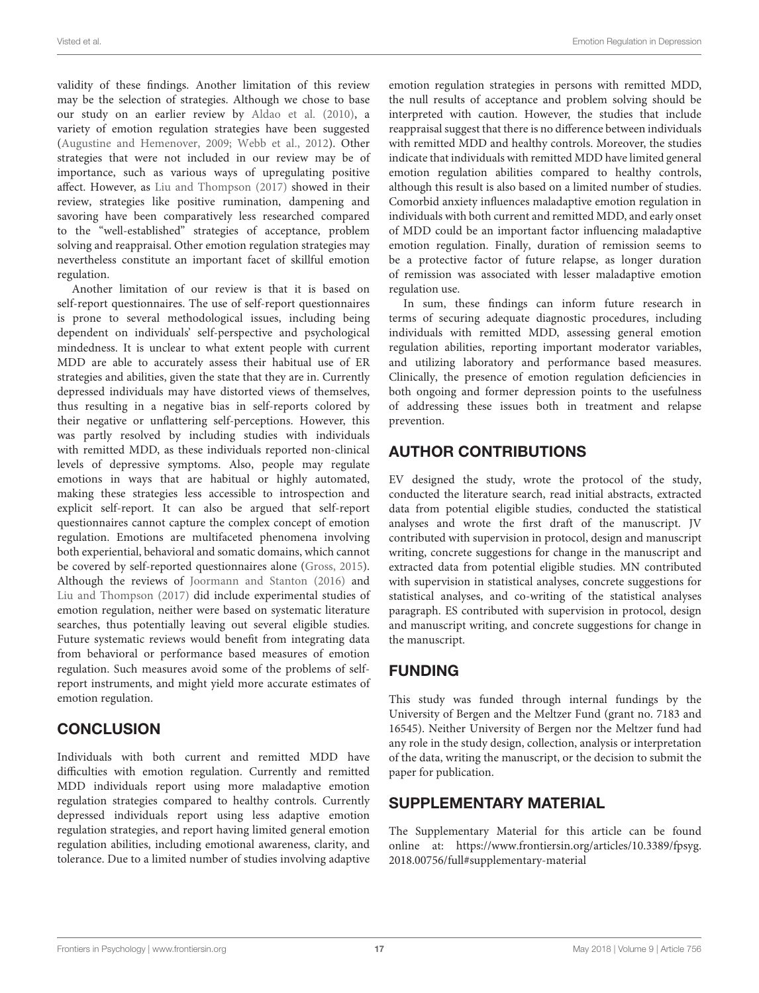validity of these findings. Another limitation of this review may be the selection of strategies. Although we chose to base our study on an earlier review by [Aldao et al. \(2010\)](#page-17-7), a variety of emotion regulation strategies have been suggested [\(Augustine and Hemenover, 2009;](#page-17-6) [Webb et al., 2012\)](#page-19-4). Other strategies that were not included in our review may be of importance, such as various ways of upregulating positive affect. However, as [Liu and Thompson \(2017\)](#page-18-18) showed in their review, strategies like positive rumination, dampening and savoring have been comparatively less researched compared to the "well-established" strategies of acceptance, problem solving and reappraisal. Other emotion regulation strategies may nevertheless constitute an important facet of skillful emotion regulation.

Another limitation of our review is that it is based on self-report questionnaires. The use of self-report questionnaires is prone to several methodological issues, including being dependent on individuals' self-perspective and psychological mindedness. It is unclear to what extent people with current MDD are able to accurately assess their habitual use of ER strategies and abilities, given the state that they are in. Currently depressed individuals may have distorted views of themselves, thus resulting in a negative bias in self-reports colored by their negative or unflattering self-perceptions. However, this was partly resolved by including studies with individuals with remitted MDD, as these individuals reported non-clinical levels of depressive symptoms. Also, people may regulate emotions in ways that are habitual or highly automated, making these strategies less accessible to introspection and explicit self-report. It can also be argued that self-report questionnaires cannot capture the complex concept of emotion regulation. Emotions are multifaceted phenomena involving both experiential, behavioral and somatic domains, which cannot be covered by self-reported questionnaires alone [\(Gross, 2015\)](#page-18-24). Although the reviews of [Joormann and Stanton \(2016\)](#page-18-5) and [Liu and Thompson \(2017\)](#page-18-18) did include experimental studies of emotion regulation, neither were based on systematic literature searches, thus potentially leaving out several eligible studies. Future systematic reviews would benefit from integrating data from behavioral or performance based measures of emotion regulation. Such measures avoid some of the problems of selfreport instruments, and might yield more accurate estimates of emotion regulation.

### **CONCLUSION**

Individuals with both current and remitted MDD have difficulties with emotion regulation. Currently and remitted MDD individuals report using more maladaptive emotion regulation strategies compared to healthy controls. Currently depressed individuals report using less adaptive emotion regulation strategies, and report having limited general emotion regulation abilities, including emotional awareness, clarity, and tolerance. Due to a limited number of studies involving adaptive emotion regulation strategies in persons with remitted MDD, the null results of acceptance and problem solving should be interpreted with caution. However, the studies that include reappraisal suggest that there is no difference between individuals with remitted MDD and healthy controls. Moreover, the studies indicate that individuals with remitted MDD have limited general emotion regulation abilities compared to healthy controls, although this result is also based on a limited number of studies. Comorbid anxiety influences maladaptive emotion regulation in individuals with both current and remitted MDD, and early onset of MDD could be an important factor influencing maladaptive emotion regulation. Finally, duration of remission seems to be a protective factor of future relapse, as longer duration of remission was associated with lesser maladaptive emotion regulation use.

In sum, these findings can inform future research in terms of securing adequate diagnostic procedures, including individuals with remitted MDD, assessing general emotion regulation abilities, reporting important moderator variables, and utilizing laboratory and performance based measures. Clinically, the presence of emotion regulation deficiencies in both ongoing and former depression points to the usefulness of addressing these issues both in treatment and relapse prevention.

# AUTHOR CONTRIBUTIONS

EV designed the study, wrote the protocol of the study, conducted the literature search, read initial abstracts, extracted data from potential eligible studies, conducted the statistical analyses and wrote the first draft of the manuscript. JV contributed with supervision in protocol, design and manuscript writing, concrete suggestions for change in the manuscript and extracted data from potential eligible studies. MN contributed with supervision in statistical analyses, concrete suggestions for statistical analyses, and co-writing of the statistical analyses paragraph. ES contributed with supervision in protocol, design and manuscript writing, and concrete suggestions for change in the manuscript.

### FUNDING

This study was funded through internal fundings by the University of Bergen and the Meltzer Fund (grant no. 7183 and 16545). Neither University of Bergen nor the Meltzer fund had any role in the study design, collection, analysis or interpretation of the data, writing the manuscript, or the decision to submit the paper for publication.

### SUPPLEMENTARY MATERIAL

The Supplementary Material for this article can be found [online at: https://www.frontiersin.org/articles/10.3389/fpsyg.](https://www.frontiersin.org/articles/10.3389/fpsyg.2018.00756/full#supplementary-material) 2018.00756/full#supplementary-material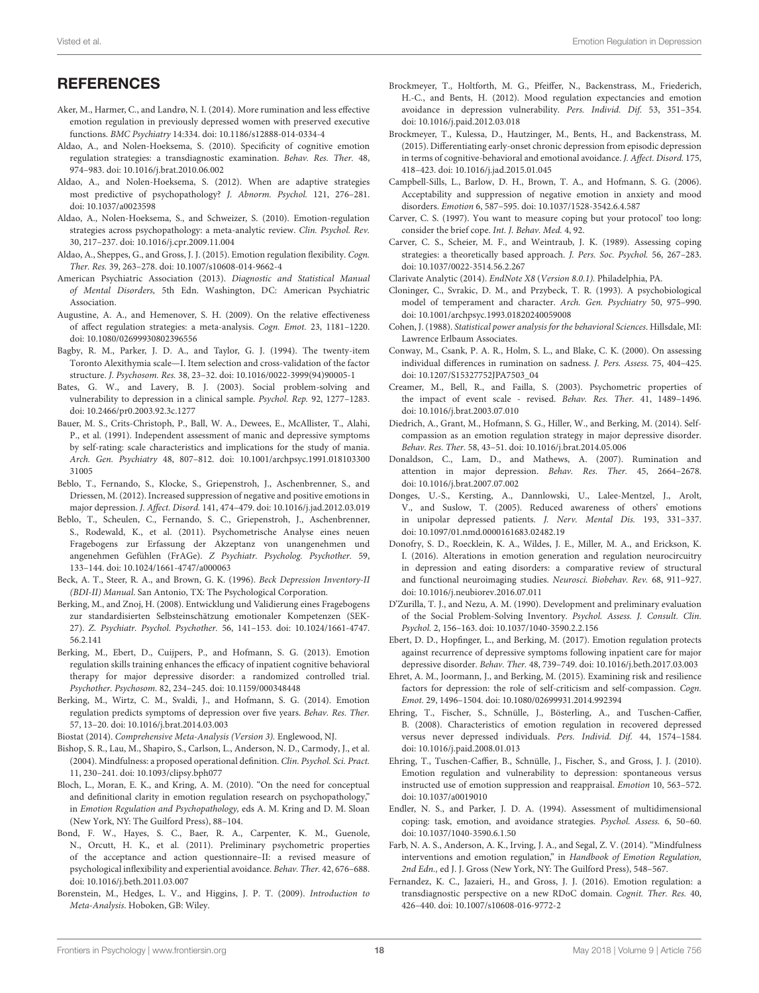### **REFERENCES**

- <span id="page-17-17"></span>Aker, M., Harmer, C., and Landrø, N. I. (2014). More rumination and less effective emotion regulation in previously depressed women with preserved executive functions. BMC Psychiatry 14:334. doi: [10.1186/s12888-014-0334-4](https://doi.org/10.1186/s12888-014-0334-4)
- <span id="page-17-14"></span>Aldao, A., and Nolen-Hoeksema, S. (2010). Specificity of cognitive emotion regulation strategies: a transdiagnostic examination. Behav. Res. Ther. 48, 974–983. doi: [10.1016/j.brat.2010.06.002](https://doi.org/10.1016/j.brat.2010.06.002)
- <span id="page-17-40"></span>Aldao, A., and Nolen-Hoeksema, S. (2012). When are adaptive strategies most predictive of psychopathology? J. Abnorm. Psychol. 121, 276–281. doi: [10.1037/a0023598](https://doi.org/10.1037/a0023598)
- <span id="page-17-7"></span>Aldao, A., Nolen-Hoeksema, S., and Schweizer, S. (2010). Emotion-regulation strategies across psychopathology: a meta-analytic review. Clin. Psychol. Rev. 30, 217–237. doi: [10.1016/j.cpr.2009.11.004](https://doi.org/10.1016/j.cpr.2009.11.004)
- <span id="page-17-8"></span>Aldao, A., Sheppes, G., and Gross, J. J. (2015). Emotion regulation flexibility. Cogn. Ther. Res. 39, 263–278. doi: [10.1007/s10608-014-9662-4](https://doi.org/10.1007/s10608-014-9662-4)
- <span id="page-17-0"></span>American Psychiatric Association (2013). Diagnostic and Statistical Manual of Mental Disorders, 5th Edn. Washington, DC: American Psychiatric Association.
- <span id="page-17-6"></span>Augustine, A. A., and Hemenover, S. H. (2009). On the relative effectiveness of affect regulation strategies: a meta-analysis. Cogn. Emot. 23, 1181–1220. doi: [10.1080/02699930802396556](https://doi.org/10.1080/02699930802396556)
- <span id="page-17-36"></span>Bagby, R. M., Parker, J. D. A., and Taylor, G. J. (1994). The twenty-item Toronto Alexithymia scale—I. Item selection and cross-validation of the factor structure. J. Psychosom. Res. 38, 23–32. doi: [10.1016/0022-3999\(94\)90005-1](https://doi.org/10.1016/0022-3999(94)90005-1)
- <span id="page-17-19"></span>Bates, G. W., and Lavery, B. J. (2003). Social problem-solving and vulnerability to depression in a clinical sample. Psychol. Rep. 92, 1277–1283. doi: [10.2466/pr0.2003.92.3c.1277](https://doi.org/10.2466/pr0.2003.92.3c.1277)
- <span id="page-17-27"></span>Bauer, M. S., Crits-Christoph, P., Ball, W. A., Dewees, E., McAllister, T., Alahi, P., et al. (1991). Independent assessment of manic and depressive symptoms by self-rating: scale characteristics and implications for the study of mania. Arch. Gen. Psychiatry [48, 807–812. doi: 10.1001/archpsyc.1991.018103300](https://doi.org/10.1001/archpsyc.1991.01810330031005) 31005
- <span id="page-17-12"></span>Beblo, T., Fernando, S., Klocke, S., Griepenstroh, J., Aschenbrenner, S., and Driessen, M. (2012). Increased suppression of negative and positive emotions in major depression. J. Affect. Disord. 141, 474–479. doi: [10.1016/j.jad.2012.03.019](https://doi.org/10.1016/j.jad.2012.03.019)
- <span id="page-17-34"></span>Beblo, T., Scheulen, C., Fernando, S. C., Griepenstroh, J., Aschenbrenner, S., Rodewald, K., et al. (2011). Psychometrische Analyse eines neuen Fragebogens zur Erfassung der Akzeptanz von unangenehmen und angenehmen Gefühlen (FrAGe). Z Psychiatr. Psycholog. Psychother. 59, 133–144. doi: [10.1024/1661-4747/a000063](https://doi.org/10.1024/1661-4747/a000063)
- <span id="page-17-26"></span>Beck, A. T., Steer, R. A., and Brown, G. K. (1996). Beck Depression Inventory-II (BDI-II) Manual. San Antonio, TX: The Psychological Corporation.
- <span id="page-17-9"></span>Berking, M., and Znoj, H. (2008). Entwicklung und Validierung eines Fragebogens zur standardisierten Selbsteinschätzung emotionaler Kompetenzen (SEK-27). Z. Psychiatr. Psychol. Psychother. [56, 141–153. doi: 10.1024/1661-4747.](https://doi.org/10.1024/1661-4747.56.2.141) 56.2.141
- <span id="page-17-42"></span>Berking, M., Ebert, D., Cuijpers, P., and Hofmann, S. G. (2013). Emotion regulation skills training enhances the efficacy of inpatient cognitive behavioral therapy for major depressive disorder: a randomized controlled trial. Psychother. Psychosom. 82, 234–245. doi: [10.1159/000348448](https://doi.org/10.1159/000348448)
- <span id="page-17-41"></span>Berking, M., Wirtz, C. M., Svaldi, J., and Hofmann, S. G. (2014). Emotion regulation predicts symptoms of depression over five years. Behav. Res. Ther. 57, 13–20. doi: [10.1016/j.brat.2014.03.003](https://doi.org/10.1016/j.brat.2014.03.003)
- <span id="page-17-24"></span>Biostat (2014). Comprehensive Meta-Analysis (Version 3). Englewood, NJ.
- <span id="page-17-5"></span>Bishop, S. R., Lau, M., Shapiro, S., Carlson, L., Anderson, N. D., Carmody, J., et al. (2004). Mindfulness: a proposed operational definition. Clin. Psychol. Sci. Pract. 11, 230–241. doi: [10.1093/clipsy.bph077](https://doi.org/10.1093/clipsy.bph077)
- <span id="page-17-4"></span>Bloch, L., Moran, E. K., and Kring, A. M. (2010). "On the need for conceptual and definitional clarity in emotion regulation research on psychopathology," in Emotion Regulation and Psychopathology, eds A. M. Kring and D. M. Sloan (New York, NY: The Guilford Press), 88–104.
- <span id="page-17-37"></span>Bond, F. W., Hayes, S. C., Baer, R. A., Carpenter, K. M., Guenole, N., Orcutt, H. K., et al. (2011). Preliminary psychometric properties of the acceptance and action questionnaire–II: a revised measure of psychological inflexibility and experiential avoidance. Behav. Ther. 42, 676–688. doi: [10.1016/j.beth.2011.03.007](https://doi.org/10.1016/j.beth.2011.03.007)
- <span id="page-17-39"></span>Borenstein, M., Hedges, L. V., and Higgins, J. P. T. (2009). Introduction to Meta-Analysis. Hoboken, GB: Wiley.
- <span id="page-17-18"></span>Brockmeyer, T., Holtforth, M. G., Pfeiffer, N., Backenstrass, M., Friederich, H.-C., and Bents, H. (2012). Mood regulation expectancies and emotion avoidance in depression vulnerability. Pers. Individ. Dif. 53, 351–354. doi: [10.1016/j.paid.2012.03.018](https://doi.org/10.1016/j.paid.2012.03.018)
- <span id="page-17-13"></span>Brockmeyer, T., Kulessa, D., Hautzinger, M., Bents, H., and Backenstrass, M. (2015). Differentiating early-onset chronic depression from episodic depression in terms of cognitive-behavioral and emotional avoidance. J. Affect. Disord. 175, 418–423. doi: [10.1016/j.jad.2015.01.045](https://doi.org/10.1016/j.jad.2015.01.045)
- <span id="page-17-11"></span>Campbell-Sills, L., Barlow, D. H., Brown, T. A., and Hofmann, S. G. (2006). Acceptability and suppression of negative emotion in anxiety and mood disorders. Emotion 6, 587–595. doi: [10.1037/1528-3542.6.4.587](https://doi.org/10.1037/1528-3542.6.4.587)
- <span id="page-17-35"></span>Carver, C. S. (1997). You want to measure coping but your protocol' too long: consider the brief cope. Int. J. Behav. Med. 4, 92.
- <span id="page-17-30"></span>Carver, C. S., Scheier, M. F., and Weintraub, J. K. (1989). Assessing coping strategies: a theoretically based approach. J. Pers. Soc. Psychol. 56, 267–283. doi: [10.1037/0022-3514.56.2.267](https://doi.org/10.1037/0022-3514.56.2.267)
- <span id="page-17-23"></span>Clarivate Analytic (2014). EndNote X8 (Version 8.0.1). Philadelphia, PA.
- <span id="page-17-29"></span>Cloninger, C., Svrakic, D. M., and Przybeck, T. R. (1993). A psychobiological model of temperament and character. Arch. Gen. Psychiatry 50, 975–990. doi: [10.1001/archpsyc.1993.01820240059008](https://doi.org/10.1001/archpsyc.1993.01820240059008)
- <span id="page-17-25"></span>Cohen, J. (1988). Statistical power analysis for the behavioral Sciences. Hillsdale, MI: Lawrence Erlbaum Associates.
- <span id="page-17-28"></span>Conway, M., Csank, P. A. R., Holm, S. L., and Blake, C. K. (2000). On assessing individual differences in rumination on sadness. J. Pers. Assess. 75, 404–425. doi: [10.1207/S15327752JPA7503\\_04](https://doi.org/10.1207/S15327752JPA7503_04)
- <span id="page-17-32"></span>Creamer, M., Bell, R., and Failla, S. (2003). Psychometric properties of the impact of event scale - revised. Behav. Res. Ther. 41, 1489–1496. doi: [10.1016/j.brat.2003.07.010](https://doi.org/10.1016/j.brat.2003.07.010)
- <span id="page-17-15"></span>Diedrich, A., Grant, M., Hofmann, S. G., Hiller, W., and Berking, M. (2014). Selfcompassion as an emotion regulation strategy in major depressive disorder. Behav. Res. Ther. 58, 43–51. doi: [10.1016/j.brat.2014.05.006](https://doi.org/10.1016/j.brat.2014.05.006)
- <span id="page-17-10"></span>Donaldson, C., Lam, D., and Mathews, A. (2007). Rumination and attention in major depression. Behav. Res. Ther. 45, 2664–2678. doi: [10.1016/j.brat.2007.07.002](https://doi.org/10.1016/j.brat.2007.07.002)
- <span id="page-17-16"></span>Donges, U.-S., Kersting, A., Dannlowski, U., Lalee-Mentzel, J., Arolt, V., and Suslow, T. (2005). Reduced awareness of others' emotions in unipolar depressed patients. J. Nerv. Mental Dis. 193, 331–337. doi: [10.1097/01.nmd.0000161683.02482.19](https://doi.org/10.1097/01.nmd.0000161683.02482.19)
- <span id="page-17-2"></span>Donofry, S. D., Roecklein, K. A., Wildes, J. E., Miller, M. A., and Erickson, K. I. (2016). Alterations in emotion generation and regulation neurocircuitry in depression and eating disorders: a comparative review of structural and functional neuroimaging studies. Neurosci. Biobehav. Rev. 68, 911–927. doi: [10.1016/j.neubiorev.2016.07.011](https://doi.org/10.1016/j.neubiorev.2016.07.011)
- <span id="page-17-31"></span>D'Zurilla, T. J., and Nezu, A. M. (1990). Development and preliminary evaluation of the Social Problem-Solving Inventory. Psychol. Assess. J. Consult. Clin. Psychol. 2, 156–163. doi: [10.1037/1040-3590.2.2.156](https://doi.org/10.1037/1040-3590.2.2.156)
- <span id="page-17-21"></span>Ebert, D. D., Hopfinger, L., and Berking, M. (2017). Emotion regulation protects against recurrence of depressive symptoms following inpatient care for major depressive disorder. Behav. Ther. 48, 739–749. doi: [10.1016/j.beth.2017.03.003](https://doi.org/10.1016/j.beth.2017.03.003)
- <span id="page-17-3"></span>Ehret, A. M., Joormann, J., and Berking, M. (2015). Examining risk and resilience factors for depression: the role of self-criticism and self-compassion. Cogn. Emot. 29, 1496–1504. doi: [10.1080/02699931.2014.992394](https://doi.org/10.1080/02699931.2014.992394)
- <span id="page-17-20"></span>Ehring, T., Fischer, S., Schnülle, J., Bösterling, A., and Tuschen-Caffier, B. (2008). Characteristics of emotion regulation in recovered depressed versus never depressed individuals. Pers. Individ. Dif. 44, 1574–1584. doi: [10.1016/j.paid.2008.01.013](https://doi.org/10.1016/j.paid.2008.01.013)
- <span id="page-17-38"></span>Ehring, T., Tuschen-Caffier, B., Schnülle, J., Fischer, S., and Gross, J. J. (2010). Emotion regulation and vulnerability to depression: spontaneous versus instructed use of emotion suppression and reappraisal. Emotion 10, 563–572. doi: [10.1037/a0019010](https://doi.org/10.1037/a0019010)
- <span id="page-17-33"></span>Endler, N. S., and Parker, J. D. A. (1994). Assessment of multidimensional coping: task, emotion, and avoidance strategies. Psychol. Assess. 6, 50–60. doi: [10.1037/1040-3590.6.1.50](https://doi.org/10.1037/1040-3590.6.1.50)
- <span id="page-17-1"></span>Farb, N. A. S., Anderson, A. K., Irving, J. A., and Segal, Z. V. (2014). "Mindfulness interventions and emotion regulation," in Handbook of Emotion Regulation, 2nd Edn., ed J. J. Gross (New York, NY: The Guilford Press), 548–567.
- <span id="page-17-22"></span>Fernandez, K. C., Jazaieri, H., and Gross, J. J. (2016). Emotion regulation: a transdiagnostic perspective on a new RDoC domain. Cognit. Ther. Res. 40, 426–440. doi: [10.1007/s10608-016-9772-2](https://doi.org/10.1007/s10608-016-9772-2)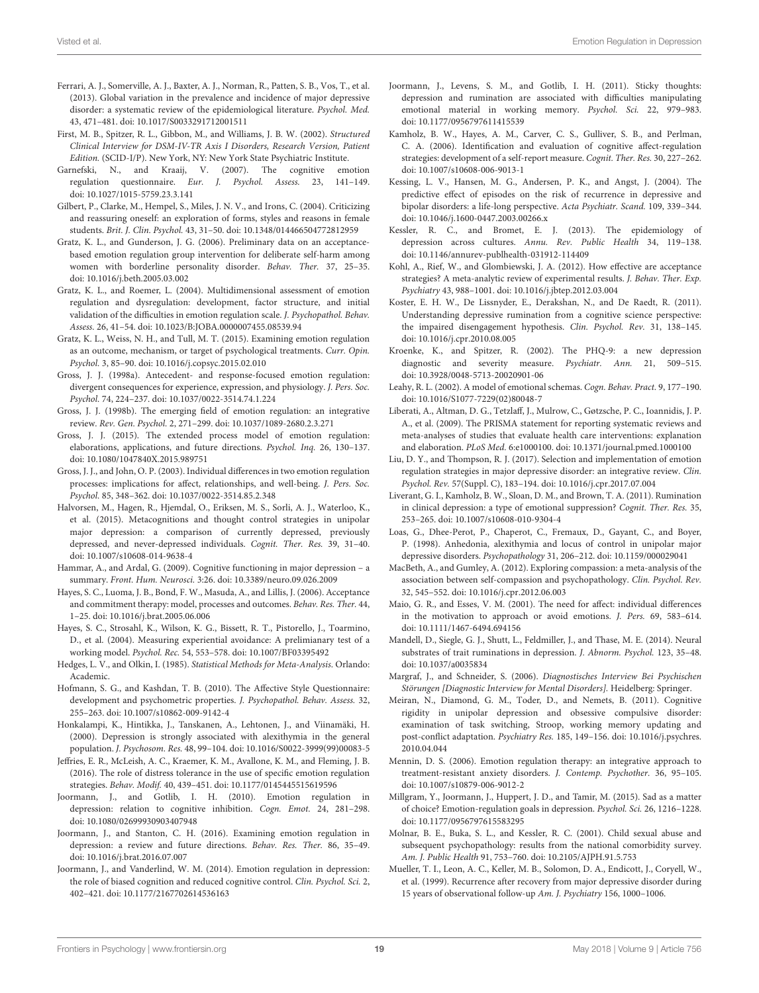- <span id="page-18-0"></span>Ferrari, A. J., Somerville, A. J., Baxter, A. J., Norman, R., Patten, S. B., Vos, T., et al. (2013). Global variation in the prevalence and incidence of major depressive disorder: a systematic review of the epidemiological literature. Psychol. Med. 43, 471–481. doi: [10.1017/S0033291712001511](https://doi.org/10.1017/S0033291712001511)
- <span id="page-18-30"></span>First, M. B., Spitzer, R. L., Gibbon, M., and Williams, J. B. W. (2002). Structured Clinical Interview for DSM-IV-TR Axis I Disorders, Research Version, Patient Edition. (SCID-I/P). New York, NY: New York State Psychiatric Institute.
- <span id="page-18-37"></span>Garnefski, N., and Kraaij, V. (2007). The cognitive emotion regulation questionnaire. Eur. J. Psychol. Assess. 23, 141–149. doi: [10.1027/1015-5759.23.3.141](https://doi.org/10.1027/1015-5759.23.3.141)
- <span id="page-18-38"></span>Gilbert, P., Clarke, M., Hempel, S., Miles, J. N. V., and Irons, C. (2004). Criticizing and reassuring oneself: an exploration of forms, styles and reasons in female students. Brit. J. Clin. Psychol. 43, 31–50. doi: [10.1348/014466504772812959](https://doi.org/10.1348/014466504772812959)
- <span id="page-18-42"></span>Gratz, K. L., and Gunderson, J. G. (2006). Preliminary data on an acceptancebased emotion regulation group intervention for deliberate self-harm among women with borderline personality disorder. Behav. Ther. 37, 25–35. doi: [10.1016/j.beth.2005.03.002](https://doi.org/10.1016/j.beth.2005.03.002)
- <span id="page-18-14"></span>Gratz, K. L., and Roemer, L. (2004). Multidimensional assessment of emotion regulation and dysregulation: development, factor structure, and initial validation of the difficulties in emotion regulation scale. J. Psychopathol. Behav. Assess. 26, 41–54. doi: [10.1023/B:JOBA.0000007455.08539.94](https://doi.org/10.1023/B:JOBA.0000007455.08539.94)
- <span id="page-18-13"></span>Gratz, K. L., Weiss, N. H., and Tull, M. T. (2015). Examining emotion regulation as an outcome, mechanism, or target of psychological treatments. Curr. Opin. Psychol. 3, 85–90. doi: [10.1016/j.copsyc.2015.02.010](https://doi.org/10.1016/j.copsyc.2015.02.010)
- <span id="page-18-8"></span>Gross, J. J. (1998a). Antecedent- and response-focused emotion regulation: divergent consequences for experience, expression, and physiology. J. Pers. Soc. Psychol. 74, 224–237. doi: [10.1037/0022-3514.74.1.224](https://doi.org/10.1037/0022-3514.74.1.224)
- <span id="page-18-7"></span>Gross, J. J. (1998b). The emerging field of emotion regulation: an integrative review. Rev. Gen. Psychol. 2, 271–299. doi: [10.1037/1089-2680.2.3.271](https://doi.org/10.1037/1089-2680.2.3.271)
- <span id="page-18-24"></span>Gross, J. J. (2015). The extended process model of emotion regulation: elaborations, applications, and future directions. Psychol. Inq. 26, 130–137. doi: [10.1080/1047840X.2015.989751](https://doi.org/10.1080/1047840X.2015.989751)
- <span id="page-18-9"></span>Gross, J. J., and John, O. P. (2003). Individual differences in two emotion regulation processes: implications for affect, relationships, and well-being. J. Pers. Soc. Psychol. 85, 348–362. doi: [10.1037/0022-3514.85.2.348](https://doi.org/10.1037/0022-3514.85.2.348)
- <span id="page-18-6"></span>Halvorsen, M., Hagen, R., Hjemdal, O., Eriksen, M. S., Sorli, A. J., Waterloo, K., et al. (2015). Metacognitions and thought control strategies in unipolar major depression: a comparison of currently depressed, previously depressed, and never-depressed individuals. Cognit. Ther. Res. 39, 31–40. doi: [10.1007/s10608-014-9638-4](https://doi.org/10.1007/s10608-014-9638-4)
- <span id="page-18-40"></span>Hammar, A., and Ardal, G. (2009). Cognitive functioning in major depression – a summary. Front. Hum. Neurosci. 3:26. doi: [10.3389/neuro.09.026.2009](https://doi.org/10.3389/neuro.09.026.2009)
- <span id="page-18-10"></span>Hayes, S. C., Luoma, J. B., Bond, F. W., Masuda, A., and Lillis, J. (2006). Acceptance and commitment therapy: model, processes and outcomes. Behav. Res. Ther. 44, 1–25. doi: [10.1016/j.brat.2005.06.006](https://doi.org/10.1016/j.brat.2005.06.006)
- <span id="page-18-11"></span>Hayes, S. C., Strosahl, K., Wilson, K. G., Bissett, R. T., Pistorello, J., Toarmino, D., et al. (2004). Measuring experiential avoidance: A prelimianary test of a working model. Psychol. Rec. 54, 553–578. doi: [10.1007/BF03395492](https://doi.org/10.1007/BF03395492)
- <span id="page-18-29"></span>Hedges, L. V., and Olkin, I. (1985). Statistical Methods for Meta-Analysis. Orlando: Academic.
- <span id="page-18-15"></span>Hofmann, S. G., and Kashdan, T. B. (2010). The Affective Style Questionnaire: development and psychometric properties. J. Psychopathol. Behav. Assess. 32, 255–263. doi: [10.1007/s10862-009-9142-4](https://doi.org/10.1007/s10862-009-9142-4)
- <span id="page-18-25"></span>Honkalampi, K., Hintikka, J., Tanskanen, A., Lehtonen, J., and Viinamäki, H. (2000). Depression is strongly associated with alexithymia in the general population. J. Psychosom. Res. 48, 99–104. doi: [10.1016/S0022-3999\(99\)00083-5](https://doi.org/10.1016/S0022-3999(99)00083-5)
- <span id="page-18-16"></span>Jeffries, E. R., McLeish, A. C., Kraemer, K. M., Avallone, K. M., and Fleming, J. B. (2016). The role of distress tolerance in the use of specific emotion regulation strategies. Behav. Modif. 40, 439–451. doi: [10.1177/0145445515619596](https://doi.org/10.1177/0145445515619596)
- <span id="page-18-4"></span>Joormann, J., and Gotlib, I. H. (2010). Emotion regulation in depression: relation to cognitive inhibition. Cogn. Emot. 24, 281–298. doi: [10.1080/02699930903407948](https://doi.org/10.1080/02699930903407948)
- <span id="page-18-5"></span>Joormann, J., and Stanton, C. H. (2016). Examining emotion regulation in depression: a review and future directions. Behav. Res. Ther. 86, 35–49. doi: [10.1016/j.brat.2016.07.007](https://doi.org/10.1016/j.brat.2016.07.007)
- <span id="page-18-17"></span>Joormann, J., and Vanderlind, W. M. (2014). Emotion regulation in depression: the role of biased cognition and reduced cognitive control. Clin. Psychol. Sci. 2, 402–421. doi: [10.1177/2167702614536163](https://doi.org/10.1177/2167702614536163)
- <span id="page-18-19"></span>Joormann, J., Levens, S. M., and Gotlib, I. H. (2011). Sticky thoughts: depression and rumination are associated with difficulties manipulating emotional material in working memory. Psychol. Sci. 22, 979–983. doi: [10.1177/0956797611415539](https://doi.org/10.1177/0956797611415539)
- <span id="page-18-36"></span>Kamholz, B. W., Hayes, A. M., Carver, C. S., Gulliver, S. B., and Perlman, C. A. (2006). Identification and evaluation of cognitive affect-regulation strategies: development of a self-report measure. Cognit. Ther. Res. 30, 227–262. doi: [10.1007/s10608-006-9013-1](https://doi.org/10.1007/s10608-006-9013-1)
- <span id="page-18-2"></span>Kessing, L. V., Hansen, M. G., Andersen, P. K., and Angst, J. (2004). The predictive effect of episodes on the risk of recurrence in depressive and bipolar disorders: a life-long perspective. Acta Psychiatr. Scand. 109, 339–344. doi: [10.1046/j.1600-0447.2003.00266.x](https://doi.org/10.1046/j.1600-0447.2003.00266.x)
- <span id="page-18-3"></span>Kessler, R. C., and Bromet, E. J. (2013). The epidemiology of depression across cultures. Annu. Rev. Public Health 34, 119–138. doi: [10.1146/annurev-publhealth-031912-114409](https://doi.org/10.1146/annurev-publhealth-031912-114409)
- <span id="page-18-12"></span>Kohl, A., Rief, W., and Glombiewski, J. A. (2012). How effective are acceptance strategies? A meta-analytic review of experimental results. J. Behav. Ther. Exp. Psychiatry 43, 988–1001. doi: [10.1016/j.jbtep.2012.03.004](https://doi.org/10.1016/j.jbtep.2012.03.004)
- <span id="page-18-21"></span>Koster, E. H. W., De Lissnyder, E., Derakshan, N., and De Raedt, R. (2011). Understanding depressive rumination from a cognitive science perspective: the impaired disengagement hypothesis. Clin. Psychol. Rev. 31, 138–145. doi: [10.1016/j.cpr.2010.08.005](https://doi.org/10.1016/j.cpr.2010.08.005)
- <span id="page-18-32"></span>Kroenke, K., and Spitzer, R. (2002). The PHQ-9: a new depression diagnostic and severity measure. Psychiatr. Ann. 21, 509–515. doi: [10.3928/0048-5713-20020901-06](https://doi.org/10.3928/0048-5713-20020901-06)
- <span id="page-18-33"></span>Leahy, R. L. (2002). A model of emotional schemas. Cogn. Behav. Pract. 9, 177–190. doi: [10.1016/S1077-7229\(02\)80048-7](https://doi.org/10.1016/S1077-7229(02)80048-7)
- <span id="page-18-28"></span>Liberati, A., Altman, D. G., Tetzlaff, J., Mulrow, C., Gøtzsche, P. C., Ioannidis, J. P. A., et al. (2009). The PRISMA statement for reporting systematic reviews and meta-analyses of studies that evaluate health care interventions: explanation and elaboration. PLoS Med. 6:e1000100. doi: [10.1371/journal.pmed.1000100](https://doi.org/10.1371/journal.pmed.1000100)
- <span id="page-18-18"></span>Liu, D. Y., and Thompson, R. J. (2017). Selection and implementation of emotion regulation strategies in major depressive disorder: an integrative review. Clin. Psychol. Rev. 57(Suppl. C), 183–194. doi: [10.1016/j.cpr.2017.07.004](https://doi.org/10.1016/j.cpr.2017.07.004)
- <span id="page-18-22"></span>Liverant, G. I., Kamholz, B. W., Sloan, D. M., and Brown, T. A. (2011). Rumination in clinical depression: a type of emotional suppression? Cognit. Ther. Res. 35, 253–265. doi: [10.1007/s10608-010-9304-4](https://doi.org/10.1007/s10608-010-9304-4)
- <span id="page-18-26"></span>Loas, G., Dhee-Perot, P., Chaperot, C., Fremaux, D., Gayant, C., and Boyer, P. (1998). Anhedonia, alexithymia and locus of control in unipolar major depressive disorders. Psychopathology 31, 206–212. doi: [10.1159/000029041](https://doi.org/10.1159/000029041)
- <span id="page-18-23"></span>MacBeth, A., and Gumley, A. (2012). Exploring compassion: a meta-analysis of the association between self-compassion and psychopathology. Clin. Psychol. Rev. 32, 545–552. doi: [10.1016/j.cpr.2012.06.003](https://doi.org/10.1016/j.cpr.2012.06.003)
- <span id="page-18-35"></span>Maio, G. R., and Esses, V. M. (2001). The need for affect: individual differences in the motivation to approach or avoid emotions. J. Pers. 69, 583–614. doi: [10.1111/1467-6494.694156](https://doi.org/10.1111/1467-6494.694156)
- <span id="page-18-34"></span>Mandell, D., Siegle, G. J., Shutt, L., Feldmiller, J., and Thase, M. E. (2014). Neural substrates of trait ruminations in depression. J. Abnorm. Psychol. 123, 35–48. doi: [10.1037/a0035834](https://doi.org/10.1037/a0035834)
- <span id="page-18-31"></span>Margraf, J., and Schneider, S. (2006). Diagnostisches Interview Bei Psychischen Störungen [Diagnostic Interview for Mental Disorders]. Heidelberg: Springer.
- <span id="page-18-20"></span>Meiran, N., Diamond, G. M., Toder, D., and Nemets, B. (2011). Cognitive rigidity in unipolar depression and obsessive compulsive disorder: examination of task switching, Stroop, working memory updating and post-conflict adaptation. Psychiatry Res. [185, 149–156. doi: 10.1016/j.psychres.](https://doi.org/10.1016/j.psychres.2010.04.044) 2010.04.044
- <span id="page-18-41"></span>Mennin, D. S. (2006). Emotion regulation therapy: an integrative approach to treatment-resistant anxiety disorders. J. Contemp. Psychother. 36, 95–105. doi: [10.1007/s10879-006-9012-2](https://doi.org/10.1007/s10879-006-9012-2)
- <span id="page-18-39"></span>Millgram, Y., Joormann, J., Huppert, J. D., and Tamir, M. (2015). Sad as a matter of choice? Emotion-regulation goals in depression. Psychol. Sci. 26, 1216–1228. doi: [10.1177/0956797615583295](https://doi.org/10.1177/0956797615583295)
- <span id="page-18-27"></span>Molnar, B. E., Buka, S. L., and Kessler, R. C. (2001). Child sexual abuse and subsequent psychopathology: results from the national comorbidity survey. Am. J. Public Health 91, 753–760. doi: [10.2105/AJPH.91.5.753](https://doi.org/10.2105/AJPH.91.5.753)
- <span id="page-18-1"></span>Mueller, T. I., Leon, A. C., Keller, M. B., Solomon, D. A., Endicott, J., Coryell, W., et al. (1999). Recurrence after recovery from major depressive disorder during 15 years of observational follow-up Am. J. Psychiatry 156, 1000–1006.